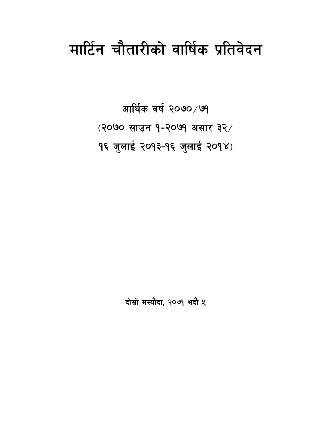# मार्टिन चौतारीको वार्षिक प्रतिवेदन

आर्थिक वर्ष २०७०/७१ (२०७० साउन १-२०७१ असार ३२/ १६ जुलाई २०१३-१६ जुलाई २०१४)

दोस्रो मस्यौदा, २०७१ भदौ ५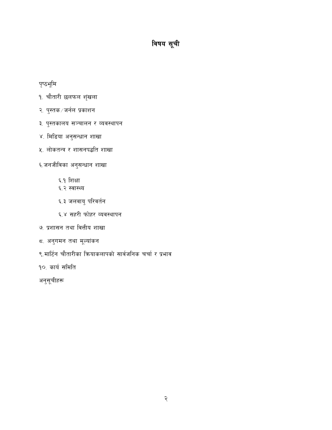# विषय सूची

# पृष्ठभूमि

- १. चौतारी छलफल शृंखला
- २. पुस्तक ⁄ जर्नल प्रकाशन
- ३. पुस्तकालय सञ्चालन र व्यवस्थापन
- ४. मिडिया अनुसन्धान शाखा
- ५. लोकतन्त्र र शासनपद्धति शाखा
- ६.जनजीविका अनुसन्धान शाखा
	- ६.१ शिक्षा
	- ६.२ स्वास्थ्य
	- ६.३ जलवायु परिवर्तन
	- ६.४ सहरी फोहर व्यवस्थापन
- ७. प्रशासन तथा वित्तीय शाखा
- ८. अनुगमन तथा मूल्यांकन
- ९.मार्टिन चौतारीका कियाकलापको सार्वजनिक चर्चा र प्रभाव
- १०. कार्य समिति

अनुसूचीहरू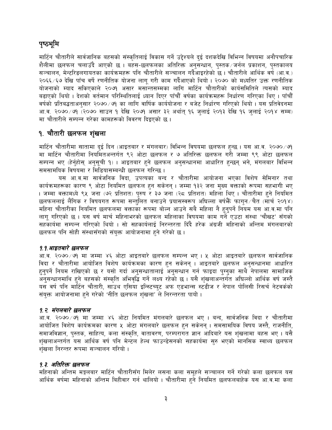# पृष्ठभूमि

मार्टिन चौतारीले सार्वजानिक बहसको संस्कृतिलाई विकास गर्ने उद्देश्यले दुई दशकदेखि विभिन्न विषयमा अनौपचारिक शैलीमा छलफल चलाउँदै आएको छ । बहस-छलफलका अतिरिक्त अनुसन्धान, पुस्तक ∕ जर्नल प्रकाशन, पुस्तकालय सञ्चालन, मेन्टरिडलगायतका कार्यक्रमहरू पनि चौतारीले सञ्चालन गर्दैआइरहेको छ। चौतारीले आर्थिक वर्ष (आ.व.) २०६६/६७ देखि पाँच वर्षे रणनीतिक योजना लागू गरी काम गर्दैआएको थियो । २०७० को मध्यतिर उक्त रणनीतिक योजनाको म्याद सकिएकाले २०७१ असार मसान्तसम्मका लागि मार्टिन चौतारीको कार्यसमितिले त्यसको म्याद बढ़ाएको थियो । देशको वर्तमान परिस्थितिलाई ध्यान दिएर पाँचौँ वर्षका कार्यक्रमहरू निर्धारण गरिएका थिए । पाँचौँ वर्षको प्रतिबद्धताअनुसार २०७० ∕७१ का लागि वार्षिक कार्ययोजना र बजेट निर्धारण गरिएको थियो । यस प्रतिवेदनमा आ.व. २०७० ⁄ ७१ (२०७० साउन १ देखि २०७१ असार ३२ अर्थात् १६ जुलाई २०१३ देखि १६ जुलाई २०१४ सम्म) मा चौतारीले सम्पन्न गरेका कामहरूको विवरण दिइएको छ ।

# १. चौतारी छलफल शृंखला

मार्टिन चौतारीमा सातामा दुई दिन (आइतबार र मंगलबार) विभिन्न विषयमा छलफल हुन्छ । यस आ.व. २०७० ⁄ ७१ मा मार्टिन चौतारीमा नियमितअन्तर्गत ९२ ओटा छलफल र ७ अतिरिक्त छलफल गरी जम्मा ९९ ओटा छलफल सम्पन्न भए (हेर्नुहोस् अनुसूची १) । आइतबार हुने छलफल अनुसन्धानमा आधारित हुन्छन् भने, मंगलबार विभिन्न समसामयिक विषयमा र मिडियासम्बन्धी छलफल गरिन्छ ।

यस आ.व.मा सार्वजनिक विदा, उपत्यका बन्द र चौतारीमा आयोजना भएका विशेष सेमिनार तथा कार्यक्रमहरूका कारण ९ ओटा नियमित छलफल हुन सकेनन् । जम्मा १३२ जना मुख्य वक्ताको रूपमा सहभागी भए । जम्मा वक्तामध्ये ९५ जना (७२ प्रतिशत) पुरुष र ३७ जना (२८ प्रतिशत) महिला थिए । चौतारीमा हुने नियमित छलफललाई लैंगिक र विषयगत रूपमा सन्तुलित बनाउने प्रयासस्वरूप अघिल्ला वर्षफैँ फागुन ∕चैत (मार्च २०१४) महिना चौतारीका नियमित छलफलमा वक्ताका रूपमा बोल्न आउने सबै महिला नै हुनुपर्ने नियम यस आ.व.मा पनि लागू गरिएको छ । यस वर्ष मार्च महिनाभरको छलफल महिलाका विषयमा काम गर्ने एउटा संस्था 'चौखट' सँगको सहकार्यमा सम्पन्न गरिएको थियो । सो सहकार्यलाई निरन्तरता दिँदै हरेक अंग्रजी महिनाको अन्तिम मंगलबारको छलफल पनि सोही संस्थासँगको संयक्त आयोजनामा हुने गरेको छ।

## १.१.आइतबारे छलफल

आ.व. २०७० ⁄ ७१ मा जम्मा ४६ ओटा आइतबारे छलफल सम्पन्न भए । ५ ओटा आइतबारे छलफल सार्वजानिक विदा र चौतारीमा आयोजित विशेष कार्यक्रमका कारण हुन सकेनन् । आइतबारे छलफल अनुसन्धानमा आधारित हुनुपर्ने नियम राखिएको छ र यसो गर्दा अनुसन्धातालाई अनुसन्धान गर्न फाइदा पुग्नुका साथै नेपालमा सामाजिक .<br>अनुसन्धानमाथि हुने बहसको संस्कृति अभिवृद्धि गर्ने लक्ष्य रहेको छ । यसै शृंखलाअन्तर्गत अघिल्लो आर्थिक वर्ष जस्तै यस वर्ष पनि मार्टिन चौतारी, साउथ एसिया इन्स्टिच्युट अफ एडभान्स स्टंडीज र नेपाल पोलिसी रिसर्च नेटवर्कको संयुक्त आयोजनामा हुने गरेको 'नीति छलफल शृंखला' ले निरन्तरता पायो ।

## १.२. मंगलबारे छलफल

आ.व. २०७० /७१ मा जम्मा ४६ ओटा नियमित मंगलबारे छलफल भए । बन्द, सार्वजनिक विदा र चौतारीमा आयोजित विशेष कार्यक्रमका कारण ५ ओटा मंगलबारे छलफल हुन सकेनन् । समसामयिक विषय जस्तै, राजनीति, समाजविज्ञान, पुस्तक, साहित्य, कला संस्कृति, वातावरण, परम्परागत ज्ञान आदिबारे यस शृंखलामा बहस भए । यसै शृंखलाअन्तर्गत यस आर्थिक वर्ष पनि मेन्टल हेल्थ फाउन्डेसनको सहकार्यमा सुरु भएको मानसिक स्वाथ्य छलफल शृंखला निरन्तर रूपमा सञ्चालन गरियो ।

# 9.३. अतिरिक्त छलफल

महिनाको अन्तिम मङ्गलबार मार्टिन चौतारीसँग मिलेर लसना कला समूहले सञ्चालन गर्ने गरेको कला छलफल यस आर्थिक वर्षमा महिनाको अन्तिम बिहीवार गर्न थालियो । चौतारीमा हुने नियमित छलफलबाहेक यस आ.व.मा कला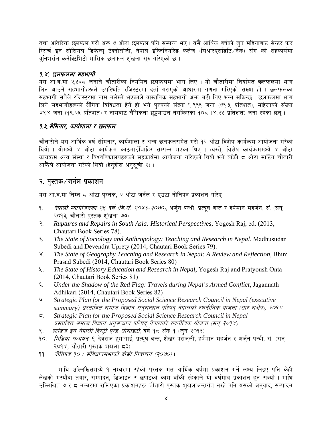तथा अतिरिक्त छलफल गरी अरू ७ ओटा छलफल पनि सम्पन्न भए । यसै आर्थिक वर्षको जन महिनाबाट सेन्टर फर रिसर्च इन सोसियल डिफेन्स् टेक्नोलोजी, नेपाल इन्जिनियरिड कलेज (सिआरएसडिटि∕नेक) सँग को सहकार्यमा यनिभर्सल कनेक्टिभिटी मासिक छलफल शंखला सरु गरिएको छ।

## १.४. छलफलमा सहभागी

यस आ.व.मा २,५६८ जनाले चौतारीका नियमित छलफलमा भाग लिए । यो चौतारीमा नियमित छलफलमा भाग लिन आउने सहभागीहरूले उपस्थिति रजिस्टरमा दर्ता गराएको आधारमा गणना गरिएको संख्या हो । छलफलका सहभागी सबैले रजिस्टरमा नाम नलेख्ने भएकाले वास्तविक सहभागी अभ बढी थिए भन्न सकिन्छ । छलफलमा भाग लिने सहभागीहरूको लैंगिक विविधता हेर्ने हो भने परुषको संख्या १.९६६ जना (७६.५ प्रतिशत), महिलाको संख्या ४९४ जना (१९.२५ प्रतिशत) र नामबाट लैंगिकता छुट्ट्याउन नसकिएका १०८ (४.२५ प्रतिशत) जना रहेका छन ।

## १.४.सेमिनार, कार्यशाला र छलफल

चौतारीले यस आर्थिक वर्ष सेमिनार, कार्यशाला र अन्य छलफलसमेत गरी १२ ओटा विशेष कार्यक्रम आयोजना गरेको थियो । यीमध्ये ४ ओटा कार्यक्रम काठमाडौँबाहिर सम्पन्न भएका थिए । त्यस्तै, विशेष कार्यक्रममध्ये ४ ओटा कार्यक्रम अन्य संस्था र विश्वविद्यालयहरूको सहकार्यमा आयोजना गरिएको थियो भने बाँकी ८ ओटा मार्टिन चौतारी आफैंले आयोजना गरेको थियो (हेर्नहोस अनसची २)।

# २. पुस्तक⁄जर्नल प्रकाशन

यस आ.व.मा निम्न ८ ओटा पुस्तक, २ ओटा जर्नल र एउटा नीतिपत्र प्रकाशन गरिए :

- *नेपाली म्यागेजिनका २५ वर्ष (वि.सं. २०४६-२०७०)*, अर्जन पन्थी, प्रत्यष वन्त र हर्षमान महर्जन, सं. (सन् ۹. २०१३, चौतारी पुस्तक शंखला ७७)।
- Ruptures and Repairs in South Asia: Historical Perspectives, Yogesh Raj, ed. (2013, २. Chautari Book Series 78).
- The State of Sociology and Anthropology: Teaching and Research in Nepal, Madhusudan ३. Subedi and Devendra Uprety (2014, Chautari Book Series 79).
- The State of Geography Teaching and Research in Nepal: A Review and Reflection, Bhim  $\lambda^{\cdot}$ Prasad Subedi (2014, Chautari Book Series 80)
- The State of History Education and Research in Nepal, Yogesh Raj and Pratyoush Onta 义. (2014, Chautari Book Series 81)
- Under the Shadow of the Red Flag: Travels during Nepal's Armed Conflict, Jagannath ६. Adhikari (2014, Chautari Book Series 82)
- Strategic Plan for the Proposed Social Science Research Council in Nepal (executive ৩ summary) प्रस्तावित समाज विज्ञान अनुसन्धान परिषद् नेपालको रणनीतिक योजना (सार संक्षेप), २०१४
- Strategic Plan for the Proposed Social Science Research Council in Nepal ζ. प्रस्तावित समाज विज्ञान अनुसन्धान परिषद नेपालको रणनीतिक योजना (सन् २०१४)
- स्टडिज इन नेपाली हिस्टी एन्ड सोसाइटी, वर्ष १८ अंक १ (जून २०१३)  $\mathcal{R}_{\alpha}$
- *मिडिया अध्ययन ९*, देवराज हमागाई, प्रत्यष वन्त, शेखर पराजली, हर्षमान महर्जन र अर्जन पन्थी, सं. (सन्  $\circ$ २०१४, चौतारी पस्तक शंखला ८३)
- नीतिपत्र १० : संविधानसभाको दोस्रो निर्वाचन (२०७०)। 99.

माथि उल्लिखितमध्ये १ नम्बरमा रहेको पुस्तक गत आर्थिक वर्षमा प्रकाशन गर्ने लक्ष्य लिइए पनि केही लेखको मस्यौदा तयार, सम्पादन, डिजाइन र छपाइको काम बाँकी रहेकाले यो वर्षमात्र प्रकाशन हुन सक्यो । माथि उल्लिखित ७ र ८ नम्बरमा राखिएका प्रकाशनहरू चौतारी पुस्तक शुंखलाअन्तर्गत नरहे पनि यसको अनुवाद, सम्पादन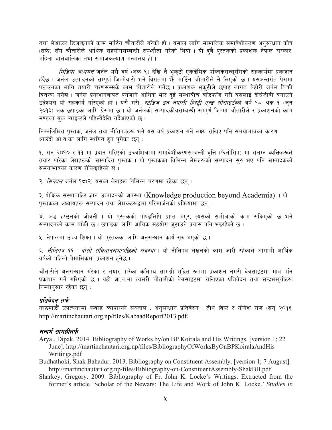तथा लेआउट डिजाइनको काम मार्टिन चौतारीले गरेको हो । यसका लागि सामाजिक समावेशीकरण अनुसन्धान कोष (सर्फ) सँग चौतारीले आर्थिक सहयोगसम्बन्धी सम्भौता गरेको थियो । यी दवै पस्तकको प्रकाशक नेपाल सरकार, महिला बालबालिका तथा समाजकल्याण मन्त्रालय हो ।

*मिडिया अध्ययन* जर्नल यसै वर्ष (अंक ९) देखि नै भूक्**टी एकेडेमिक पब्लिकेसन्स्**सँगको सहकार्यमा प्रकाशन हुँदैछ । जर्नल उत्पादनको सम्पूर्ण जिम्मेवारी भने विगतमा भैँँ मार्टिन चौतारीले नै लिएको छ । यसअन्तर्गत प्रेसमा ्<br>पठाउनका लागि तयारी चरणसम्मकै काम चौतारीले गर्नेछ । प्रकाशक भुकुटीले छपाइ लागत बेहोरी जर्नल बिक्री वितरण गर्नेछ । जर्नल प्रकाशनबापत पर्नजाने आर्थिक भार दुई संस्थाबीच बाँडफाँड गरी यसलाई दीर्घजीवी बनाउने उद्देश्यले यो सहकार्य गरिएको हो । यसै गरी, *स्टडिज इन नेपाली हिस्ट्री एन्ड सोसाइटी*को वर्ष १८ अंक १ (जुन २०१३) अंक छपाइका लागि प्रेसमा छ । यो जर्नलको सम्पादकीयसम्बन्धी सम्पूर्ण जिम्मा चौतारीले र प्रकाशनको काम मण्डला बक प्वाइन्टले पहिल्यैदेखि गर्दैआएको छ ।

निम्नलिखित पुस्तक, जर्नल तथा नीतिपत्रहरू भने यस वर्ष प्रकाशन गर्ने लक्ष्य राखिए पनि समयाभावका कारण आउँदो आ.व.का लागि स्थगित हुन पुगेका छन् :

१. सन् २०१० र ११ मा प्रदान गरिएको उच्चशिक्षामा समावेशीकरणसम्बन्धी वृत्ति (फेलोसिप) मा संलग्न व्यक्तिहरूले तयार पारेका लेखहरूको सम्पादित पस्तक । यो पस्तकका विभिन्न लेखहरूको सम्पादन सरु भए पनि सम्पादकको समयाभावका कारण रोकिइरहेको छ ।

२. *सिन्हास* जर्नल १८(२) यसका लेखहरू विभिन्न चरणमा रहेका छन ।

३. शैक्षिक संस्थाबाहिर ज्ञान उत्पादनको अवस्था (Knowledge production beyond Academia) । यो पुस्तकका अध्यायहरू सम्पादन तथा लेखकहरूद्वारा परिमार्जनको प्रक्रियामा छन् ।

४. अड हफ्टनको जीवनी । यो पुस्तकको पाण्डुलिपि प्राप्त भएर, त्यसको समीक्षाको काम सकिएको छ भने सम्पादनको काम बाँकी छ। छपाइका लागि आर्थिक सहयोग जटाउने प्रयास पनि भइरहेको छ।

५. नेपालमा उच्च शिक्षा । यो पुस्तकका लागि अनुसन्धान कार्य सुरु भएको छ ।

६. *नीतिपत्र ११ : दोस्रो संविधानसभापछिको अवस्था* । यो नीतिपत्र लेखनको काम जारी रहेकाले आगामी आर्थिक वर्षको पहिलो त्रैमासिकमा प्रकाशन हुनेछ ।

चौतारीले अनुसन्धान गरेका र तयार पारेका कतिपय सामग्री मुद्रित रूपमा प्रकाशन नगरी वेबसाइटमा मात्र पनि प्रकाशन गर्ने गरिएको छ । यही आ.व.मा त्यसरी चौतारीको वेबसाइटमा राखिएका प्रतिवेदन तथा सन्दर्भसुचीहरू निम्नानुसार रहेका छन् :

## प्रतिवेदन तर्फ

काठमाडौँ उपत्यकामा कबाड व्यापारको सञ्जाल : अनुसन्धान प्रतिवेदन", तीर्थ विष्ट र योगेश राज (सन् २०१३, http://martinchautari.org.np/files/KabaadReport2013.pdf)

## सन्दर्भ सामग्रीतर्फ

- Aryal, Dipak. 2014. Bibliography of Works by/on BP Koirala and His Writings. [version 1; 22] June]. http://martinchautari.org.np/files/BibliographyOfWorksByOnBPKoiralaAndHis Writings.pdf
- Budhathoki, Shak Bahadur. 2013. Bibliography on Constituent Assembly. [version 1; 7 August]. http://martinchautari.org.np/files/Bibliography-on-ConstituentAssembly-ShakBB.pdf
- Sharkey, Gregory. 2009. Bibliography of Fr. John K. Locke's Writings. Extracted from the former's article 'Scholar of the Newars: The Life and Work of John K. Locke.' Studies in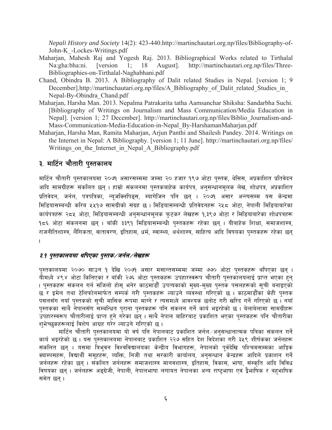*Nepali History and Society* 14(2): 423-440.http://martinchautari.org.np/files/Bibliography-of-John-K\_-Lockes-Writings.pdf

- Maharjan, Mahesh Raj and Yogesh Raj. 2013. Bibliographical Works related to Tirthalal Na:gha:bha:ni. [version 1; 18 August]. http://martinchautari.org.np/files/Three-Bibliographies-on-Tirthalal-Naghabhani.pdf
- Chand, Obindra B. 2013. A Bibliography of Dalit related Studies in Nepal. [version 1; 9 December].http://martinchautari.org.np/files/A\_Bibliography\_of\_Dalit\_related\_Studies\_in\_ Nepal-By-Obindra\_Chand.pdf
- Maharjan, Harsha Man. 2013. Nepalma Patrakarita tatha Aamsanchar Shiksha: Sandarbha Suchi. [Bibliography of Writings on Journalism and Mass Communication/Media Education in Nepal]. [version 1; 27 December]. http://martinchautari.org.np/files/Biblio\_Journalism-and-Mass-Communication-Media-Education-in-Nepal\_By-HarshamanMaharjan.pdf
- Maharjan, Harsha Man, Ramita Maharjan, Arjun Panthi and Shailesh Pandey. 2014. Writings on the Internet in Nepal: A Bibliography. [version 1; 11 June]. http://martinchautari.org.np/files/ Writings on the Internet in Nepal A Bibliography.pdf

# ३. मार्टिन चौतारी पुस्तकालय

मार्टिन चौतारी पुस्तकालयमा २०७१ असारसम्ममा जम्मा २० हजार १९७ ओटा पुस्तक, थेसिस, अप्रकाशित प्रतिवेदन आदि सामग्रीहरू संकलित छन् । हाम्रो संकलनमा पुस्तकबाहेक कार्यपत्र, अनुसन्धानमुलक लेख, शोधपत्र, अप्रकाशित प्रतिवेदन, जर्नल, पत्रपत्रिका, न्युजक्लिपिडुस, म्यागेजिन पनि छन् । २०७१ असार अन्त्यसम्म यस केन्द्रमा मिडियासम्बन्धी करिब ५५१७ सामग्रीको संग्रह छ । मिडियासम्बन्धी प्रतिवेदनहरू २५८ ओटा, नेपाली मिडियाबारेका कार्यपत्रहरू २८५ ओटा, मिडियासम्बन्धी अनुसन्धानमुलक फुटकर लेखहरू १,३९७ ओटा र मिडियाबारेका शोधपत्रहरू १८६ ओटा संकलनमा छन् । बाँकी ३३९१ मिडियासम्बन्धी पुस्तकहरू रहेका छन् । यीबाहेक शिक्षा, समाजशास्त्र, राजनीतिशास्त्र, लैंगिकता, वातावरण, इतिहास, धर्म, स्वास्थ्य, अर्थशास्त्र, साहित्य आदि विषयका पुस्तकहरू रहेका छन् .

# *३.१ पुस्तकालयमा थपिएका पुस्तक⁄ जर्नल⁄लेखहरू*

पुस्तकालयमा २०७० साउन १ देखि २०७१ असार मसान्तसम्ममा जम्मा ७७० ओटा पुस्तकहरू थपिएका छन् । यीमध्ये ४९४ ओटा किनिएका र बाँकी २७६ ओटा पुस्तकहरू उपहारस्वरूप चौतारी पुस्तकालयलाई प्राप्त भएका हुन् । पस्तकहरू संकलन गर्न सजिलो होस भनेर काठमाडौँ उपत्यकाको मख्य-मख्य पस्तक पसलहरूको सची बनाइएको छ र इमेल तथा टेलिफोनमार्फत सम्पर्क गरी पुस्तकहरू ल्याउने व्यवस्था गरिएको छ । काठमाडौँका केही पस्तक पसलसँग नयाँ पुस्तकको सूची मासिक रूपमा माग्ने र त्यसमध्ये आवश्यक छनोट गरी खरिद गर्ने गरिएको छ । नयाँ पुस्तकका साथै नेपालसँग सम्बन्धित पुराना पुस्तकहरू पनि संकलन गर्ने कार्य भइरहेको छ । बेलाबेलामा सामग्रीहरू उपहारस्वरूप चौतारीलाई प्राप्त हुने गरेका छन् । साथै नेपाल बाहिरबाट प्रकाशित भएका पुस्तकहरू पनि चौतारीका शभेच्छकहरूलाई विशेष आग्रह गरेर ल्याउने गरिएको छ ।

मार्टिन चौतारी पस्तकालयमा यो वर्ष पनि नेपालबाट प्रकाशित जर्नल अनसन्धानात्मक पत्रिका संकलन गर्ने कार्य भइरहेको छ । यस पुस्तकालयमा नेपालबाट प्रकाशित २२७ सहित देश विदेशका गरी ३५९ शीर्षकका जर्नलहरू .<br>संकलित छन् । यसमा त्रिभुवन विश्वविद्यालयका केन्द्रीय विभागहरू, नेपालको पुर्वदेखि पश्चिमसम्मका आङ्गिक क्याम्पसहरू, विद्यार्थी समूहहरू, व्यक्ति, निजी तथा सरकारी कार्यालय, अनुसन्धान केन्द्रहरू आदिले प्रकाशन गर्ने जर्नलहरू रहेका छन् । संकलित जर्नलहरू समाजशास्त्र मानवशास्त्र, इतिहास, विकास, भाषा, संस्कृति आदि विविध विषयका छन् । जर्नलहरू अङ्ग्रेजी, नेपाली, नेपालभाषा लगायत नेपालका अन्य राष्टभाषा एवं द्वैभाषिक र बहभाषिक समेत छन ।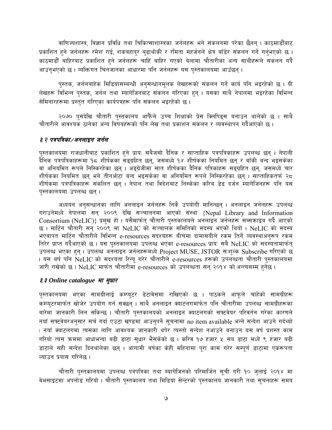वाणिज्यशास्त्र, विज्ञान प्रविधि तथा चिकित्साशास्त्रका जर्नलहरू भने संकलनमा परेका छैनन् । काठमाडौँबाट प्रकाशित हुने जर्नलहरू रमेश राई, शकबहादुर बुढाथोकी र रमिता महर्जनले क्षेत्र बाँडेर संकलन गर्ने गर्नुभएको छ । काठमाडौँ बाहिरबाट प्रकाशित हुने जर्नलहरू चाहिँ बाहिर गएको बेलामा चौतारीका अन्य साथीहरूले संकलन गर्दै आउनुभएको छ । व्यक्तिगत चिनजानका आधारमा पनि जर्नलहरू यस पुस्तकालयमा आउँछन् ।

पस्तक, जर्नलबाहेक मिडियासम्बन्धी अनुसन्धानमुलक लेखहरूको संकलन गर्ने कार्य पनि भइरहेको छ । यी लेखहरू विभिन्न पुस्तक, जर्नल तथा म्यागेजिनबाट संकलन गरिएका हुन् । यसका साथै नेपालमा भइरहेका विभिन्न सेमिनारहरूमा प्रस्तुत गरिएका कार्यपत्रहरू पनि संकलन भइरहेको छ।

२०७० पुसदेखि चौतारी पुस्तकालय आफैंले उच्च शिक्षाको प्रेस क्लिपिड्स बनाउन थालेको छ । साथै चौतारीले आवश्यक ठानेका अन्य विषयहरूको पनि लेख तथा प्रकाशन संकलन र व्यवस्थापन गर्दैआएको छ ।

## ३.२ पत्रपत्रिका ⁄ अनलाइन जर्नल

पुस्तकालयमा राजधानीबाट प्रकाशित हुने प्राय: सबैजसो दैनिक र साप्ताहिक पत्रपत्रिकाहरू उपलब्ध छन् । नेपाली र्दैनिक पत्रपत्रिकाहरूमा १८ शीर्षकका सङ्ग्रहित छन्, जसमध्ये १४ शीर्षकका नियमित छन् र बाँकी बन्द भइसकेका वा अनियमित रूपले निस्किरहेका छन । अडग्रेजीमा सात शीर्षकका दैनिक पत्रिकाहरू सडग्रहित छन. जसमध्ये चार शीर्षकका नियमित छन् भने तीनओटा बन्द भइसकेका वा अनियमित रूपले निस्किरहेका छन् । साप्ताहिकतर्फ २८ शीर्षकमा पत्रपत्रिकाहरू संकलित छन । नेपाल तथा विदेशबाट निस्केका करिब डेढ दर्जन म्यागेजिनहरू पनि यस पस्तकालयमा उपलब्ध छन्।

अध्ययन अनुसन्धानका लागि अनलाइन जर्नलहरू निकै उपयोगी मानिन्छन् । अनलाइन जर्नलहरू उपलब्ध गराउनेमध्ये नेपालमा सन् २००९ देखि सञ्चालनमा आएको संस्था {Nepal Library and Information Consortium (NeLIC)} प्रमुख हो । यसैमार्फत् चौतारी पुस्तकालयले अनलाइन जर्नलहरू सब्सकाइब गर्दै आएको छ । मार्टिन चौतारी सन् २००९ मा NeLIC को सञ्चालक समितिको सदस्य भएको थियो । NeLIC को सदस्य भएबापत मार्टिन चौतारीले विभिन्न e-resources सदश्यहरू बीचमा दामासयीले रकम तिर्ने व्यवस्थाअनुरूप रकम तिरेर प्राप्त गर्दैआएको छ। यस पुस्तकालयमा उपलब्ध भएका e-resources प्राय: सबै NeLIC को सदस्यतामार्फत् उपलब्ध भएका हुन् । उपलब्ध अनलाइन जर्नलहरूमध्ये Project MUSE, JSTOR सःशल्क Subscribe गरिएको छ । यस बर्ष पनि NeLIC को सदश्यता रिन्यू गरेर चौतारीले e-resources हरूको उपलब्धता चौतारी पुस्तकालयमा जारी राखेको छ। NeLIC मार्फत चौतारीमा e-resources को उपलब्धता सन् २०१४ को अन्त्यसम्म हुनेछ।

## $3.3$  Online catalogue  $H$  सुधार

पुस्तकालयमा भएका सामग्रीलाई कम्प्युटर डेटावेसमा राखिएको छ । पाठकले आफूले चाहेको सामग्रीहरू कम्प्युटरमार्फत खोजेर उपयोग गर्न सक्छन् । साथै अनलाइन क्याटलगमार्फत पनि चौतारीमा उपलब्ध सामग्रीहरूका बारेमा जानकारी लिन सकिन्छ । चौतारी पुस्तकालयको अनलाइन क्याटलगको सफ्टवेयर परिवर्तन गरेका कारणले नयाँ सफ्टवेयरअनुसार सर्च गर्दा एउटा खण्डमा आउनुपर्ने सूचनामा no item available भन्ने सन्देश आउने गर्दथ्यो । नयाँ क्याटलगमा त्यसका लागि आवश्यक जानकारी थपेर त्यस्तो सन्देश नआउने बनाउन यस वर्ष प्रशस्त काम गरियो त्यस क्रममा आधाभन्दा बढी डाटा सुधार भैसकेको छ । करिव १७ हजार ५ सय डाटा मध्ये ९ हजार बढी डाटाले सही सन्देश दिनथालेका छन् । आगामी बर्षका केही महिनामा पुरा काम गरेर सम्पूर्ण डाटामा एकरूपता ल्याउन प्रयास गरिनेछ ।

चौतारी पुस्तकालयमा उपलब्ध पत्रपत्रिका तथा म्यागेजिनको परिमार्जित सुची गरी १० जुलाई २०१४ मा वेभसाइटमा अपलोड गरियो । चौतारी पुस्तकालय तथा मिडिया सेन्टरको पुस्तकालय जानकारी तथा सुचनाहरू समय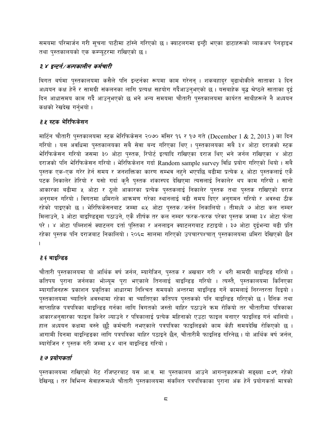समयमा परिमार्जन गरी सूचना पाटीमा टाँस्ने गरिएको छ । क्याटलगमा इन्टी भएका डाटाहरूको व्याकअप पेनडाइभ तथा पुस्तकालयको एक कम्प्युटरमा राखिएको छ।

# ३.४ इन्टर्न्/अल्पकालीन कर्मचारी

बिगत बर्षमा पुस्तकालयमा कसैले पनि इन्टर्नका रूपमा काम गरेनन् । शकबहादुर बुढाथोकीले साताका ३ दिन अध्ययन कक्ष हेर्ने र सामग्री संकलनका लागि प्रत्यक्ष सहयोग गर्दैआउन्भएको छ। यसबाहेक बुद्ध श्रेष्ठले साताका दुई दिन आधासमय काम गर्दै आउन्भएको छ भने अन्य समयमा चौतारी पुस्तकालयमा कार्यरत साथीहरूले नै अध्ययन कक्षको रेखदेख गर्नुभयो ।

# *३.४* स्टक भेरिफिकेसन

मार्टिन चौतारी पुस्तकालयमा स्टक भेरिफिकेसन २०७० मंसिर १६ र १७ गते (December 1 & 2, 2013) का दिन गरियो । यस अवधिमा पुस्तकालयका सबै सेवा बन्द गरिएका थिए । पुस्तकालयका सबै ३४ ओटा दराजको स्टक भेरिफिकेसन गरियो जसमा ३० ओटा पुस्तक, रिपोर्ट इत्यादि राखिएका दराज थिए भने जर्नल राखिएका ४ ओटा दराजको पनि भेरिफिकेसन गरियो । भेरिफिकेशन गर्दा Random sample survey विधि प्रयोग गरिएको थियो । सबै पुस्तक एक-एक गरेर हेर्न समय र जनशक्तिका कारण सम्भव नहने भएपछि बढीमा प्रत्येक ५ ओटा पुस्तकलाई एकै पटक निकालेर हेरियो र यसो गर्दा कुनै पुस्तक शंकास्पद देखिएमा त्यसलाई निकालेर थप काम गरियो । सानो आकारका बढीमा ५ ओटा र ठूलो आकारका प्रत्येक पुस्तकलाई निकालेर पुस्तक तथा पुस्तक राखिएको दराज अनुगमन गरियो । विगतमा धमिराले आक्रमण गरेका स्थानलाई बढी समय दिएर अनुगमन गरियो र अवस्था ठीक रहेको पाइएको छ । भेरिफिकेसनबाट जम्मा ८५ ओटा पुस्तक जर्नल निकालियो । तीमध्ये ७ ओटा कल नम्बर मिलाउने, ३ ओटा बाइण्डिइमा पठाउने, एकै शीर्षक तर कल नम्बर फरक-फरक परेका पुस्तक जम्मा ३४ ओटा फेला परे । ४ ओटा पब्लिशर्स क्याटलग दर्ता पुस्तिका र अनलाइन क्याटलगबाट हटाइयो । ३७ ओटा दुईभन्दा बढी प्रति रहेका पुस्तक पनि दराजबाट निकालियो । २०६८ सालमा गरिएको उपचारपश्चात् पुस्तकालयमा धमिरा देखिएको छैन

# *३.६* बाइन्डिङ

चौतारी पुस्तकालयमा यो आर्थिक वर्ष जर्नल, म्यागेजिन, पुस्तक र अखबार गरी ४ थरी सामग्री बाइन्डिड गरियो । कतिपय पुराना जर्नलका भोल्युम पुरा भएकाले तिनलाई बाइन्डिङ गरियो । त्यस्तै, पुस्तकालयमा किनिएका म्यागाजिनहरू प्रकाशन प्रकृतिका आधारमा निश्चित समयको अन्तरमा बाइन्डिङ गर्ने कामलाई निरन्तरता दिइयो । पुस्तकालयमा च्यातिने अवस्थामा रहेका वा च्यातिएका कतिपय पुस्तकको पनि बाइन्डिङ गरिएको छ । दैनिक तथा साप्ताहिक पत्रपत्रिका बाइन्डिङ गर्नका लागि विगतको जस्तो बाहिर पठाउने क्रम रोकियो तर चौतारीमा पत्रिकाका आकारअनुसारका फाइल किनेर ल्याउने र पत्रिकालाई प्रत्येक महिनाको एउटा फाइल बनाएर फाइलिङ गर्न थालियो । हाल अध्ययन कक्षमा बस्ने छुट्टै कर्मचारी नभएकाले पत्रपत्रिका फाइलिङको काम केही समयदेखि रोकिएको छ । आगामी दिनमा बाइन्डिडका लागि पत्रपत्रिका बाहिर पठाइने छैन, चौतारीमै फाइलिङ गरिनेछ । यो आर्थिक वर्ष जर्नल, म्यागेजिन र पस्तक गरी जम्मा ५४ थान बाइन्डिड गरियो।

# ३.७ प्रयोगकर्ता

पुस्तकालयमा राखिएको गेट रजिष्टरबाट यस आ.व. मा पुस्तकालय आउने आगन्तुकहरूको सङ्ख्या ८७९ रहेको देखिन्छ । तर विभिन्न सेवाहरूमध्ये चौतारी पुस्तकालयमा संकलित पत्रपत्रिकाका पुराना अंक हेर्ने प्रयोगकर्ता मात्रको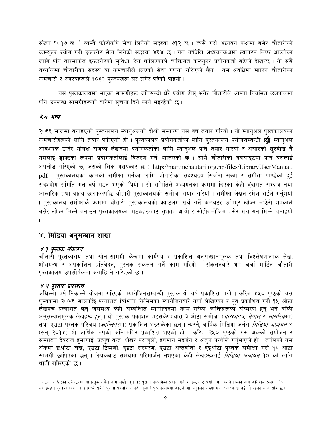संख्या १०१७ छ । त्यस्तै फोटोकपि सेवा लिनेको सङ्ख्या ७१२ छ । त्यसै गरी अध्ययन कक्षमा बसेर चौतारीको कम्प्युटर प्रयोग गरी इन्टरनेट सेवा लिनेको सङ्ख्या ४६४ छ । गत बर्षदेखि अध्ययनकक्षमा ल्यापटप लिएर आउनेका लागि पनि तारमार्फत इन्टरनेटको सुविधा दिन थालिएकाले व्यक्तिगत कम्प्युटर प्रयोगकर्ता बढेको देखिन्छ । यी सबै तथ्यांकमा चौतारीका सदस्य वा कर्मचारीले लिएको सेवा गणना गरिएको छैन । यस अवधिमा मार्टिन चौतारीका कर्मचारी र सदस्यहरूले १०३० पुस्तकहरू घर लगेर पढेको पाइयो ।

यस पुस्तकालयमा भएका सामग्रीहरू जतिसक्दो धेरै प्रयोग होस् भनेर चौतारीले आफ्ना नियमित छलफलमा पनि उपलब्ध सामग्रीहरूको बारेमा सूचना दिने कार्य भइरहेको छ।

## ३. ८ अन्य

२०६६ सालमा बनाइएको पुस्तकालय म्यानुअलको दोश्रो संस्करण यस वर्ष तयार गरियो । यो म्यानुअल पुस्तकालयका कर्मचारीहरूको लागि तयार पारिएको हो । पुस्तकालय प्रयोगकर्ताका लागि पुस्तकालय प्रयोगसम्बन्धी छुट्टै म्यान्अल आवश्यक ठानेर योगेश राजको लेखनमा प्रयोगकर्ताका लागि म्यान्अल पनि तयार गरियो र असारको सुरुदेखि नै यसलाई डाफ्टका रूपमा प्रयोगकर्तालाई वितरण गर्न थालिएको छ । साथै चौतारीको वेबसाइटमा पनि यसलाई अपलोड गरिएको छ, जसको लिंक यसप्रकार छ : http://martinchautari.org.np/files/LibraryUserManual. pdf । पुस्तकालयका कामको समीक्षा गर्नका लागि चौतारीका सदश्यद्वय सिर्जना सुब्बा र संगीता पाण्डेको दुई सदर्श्यीय समिति गत वर्ष गठन भएको थियो । सो समितिले अध्ययनका क्रममा दिएका केही बुँदागत सुभ्राव तथा आन्तरिक तथा बाह्य छलफलपछि चौतारी पुस्तकालयको समीक्षा तयार गरियो । समीक्षा लेखन रमेश राईले गर्नुभयो । पुस्तकालय समीक्षाकै क्रममा चौतारी पुस्तकालयको क्याटलग सर्च गर्ने कम्प्युटर उभिएर खोज्न अप्ठेरो भएकाले बसेर खोज्न मिल्ने बनाउन पुस्तकालयका पाठकहरूबाट सुभाव आयो र सोहीबमोजिम बसेर सर्च गर्न मिल्ने बनाइयो

# ४. मिडिया अनुसन्धान शाखा

## ४.१ पुस्तक संकलन

चौतारी पुस्तकालय तथा स्रोत-सामग्री केन्द्रमा कार्यपत्र र प्रकाशित अनुसन्धानमूलक तथा विश्लेषणात्मक लेख, शोधग्रन्थ र अप्रकाशित प्रतिवेदन, पुस्तक संकलन गर्ने काम गरियो । संकलनंबारे थप चर्चा मार्टिन चौतारी पुस्तकालय उपशीर्षकमा अगाडि नै गरिएको छ।

## ४.२ पुस्तक प्रकाशन

अघिल्लो वर्ष निकाल्ने योजना गरिएको म्यागेजिनसम्बन्धी पुस्तक यो वर्ष प्रकाशित भयो । करिब ४५० पुष्ठको यस पुस्तकमा २०४६ सालपछि प्रकाशित विभिन्न किसिमका म्यागेजिनबारे नयाँ लेखिएका र पूर्व प्रकाशित गरी १५ ओटा लेखहरू प्रकाशित छन् जसमध्ये केही सम्बन्धित म्यागेजिनमा काम गरेका व्यक्तिहरूको संस्मरण हुन् भने बाँकी अनुसन्धानमूलक लेखहरू हुन् । यो पुस्तक प्रकाशन भइसकेपश्चात् ३ ओटा समीक्षा (*गोरखापत्र, नेपाल र नागरिक*मा) तथा एउटा पुस्तक परिचय (*कान्तिपुर*मा) प्रकाशित भइसकेका छन् । त्यस्तै, वार्षिक मिडिया जर्नल *मिडिया अध्ययन* ९ (सन् २०१४) यो आर्थिक वर्षको अन्तिमतिर प्रकाशित भएको हो । करिब २५० पृष्ठको यस अंकको संयोजन र सम्पादन देवराज हुमागाईं, प्रत्यूष वन्त, शेखर पराजुली, हर्षमान महर्जन र अर्जुन पन्थीले गर्नुभएको हो । जर्नलको यस अंकमा छओटा लेख, एउटा टिप्पणी, दुइटा संस्मरण, एउटा अन्तर्वार्ता र दुईओटा पुस्तक समीक्षा गरी १२ ओटा सामग्री छापिएका छन् । लेखकबाट समयमा परिमार्जन नभएका केही लेखहरूलाई *मिडिया अध्ययन* १० को लागि थाती राखिएको छ।

<sup>&</sup>lt;sup>9</sup> गेटमा राखिएको रजिस्टरमा आगन्तुक सबैले नाम लेख्दैनन् । तर पुराना पत्रपत्रिका प्रयोग गर्ने वाइन्टरनेट प्रयोग गर्ने व्यक्तिहरूको नाम अनिवार्य रूपमा लेख्न लगाइन्छ। पुस्तकालयमा आउनेमध्ये सबैले पुराना पत्रपत्रिका नहेर्ने हुनाले पुस्तकालयमा आउने आगत्तकको संख्या एक हजारभन्दा बढी नै रहेको भन्न सकिन्छ।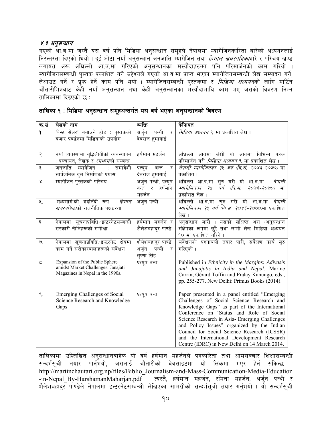## ४.३ अनुसन्धान

गएको आ.व.मा जस्तै यस वर्ष पनि मिडिया अनुसन्धान समूहले नेपालमा म्यागेजिनकारिता बारेको अध्ययनलाई स्तरात्मा सामान्या स्थिति । त्या स्थानिकार्या अनुसन्धान जनजाति म्यागेजिन तथा *हिमाल खबरपत्रिका*बारे र परिचय खण्ड<br>लगायत अरू अघिल्लो आ.व.मा गरिएको अनुसन्धानका मस्यौदाहरूमा पनि परिमार्जनको काम गरियो । म्यागेजिनसम्बन्धी पुस्तक प्रकाशित गर्ने उद्देश्यले गएको आ.व.मा प्राप्त भएका म्यागेजिनसम्बन्धी लेख सम्पादन गर्ने, रचानाबारसम्बन्धाः गुरस्तकं प्रकारस्त नगे उदरचरा नर्इका आद्यास्त प्रारंग नर्इका स्वामाबारसम्बन्धाः सञ्च सम्मादन<br>लेआउट गर्ने र प्रुफ हेर्ने काम पनि भयो । म्यागेजिनसम्बन्धी पुस्तकमा र *मिडिया अध्ययन*को लागि मार्टिन<br>चौतारीभित तालिकामा दिइएको छ :

| क.सं          | लेखको नाम                                                                                                | व्यक्ति                                                | कैफियत                                                                                                                                                                                                                                                                                                                                                                                                                             |
|---------------|----------------------------------------------------------------------------------------------------------|--------------------------------------------------------|------------------------------------------------------------------------------------------------------------------------------------------------------------------------------------------------------------------------------------------------------------------------------------------------------------------------------------------------------------------------------------------------------------------------------------|
| ۹.            | 'बेस्ट सेलर' बनाउने होड : पुस्तकको<br>बजार प्रवर्द्धनमा मिडियाको उपयोग                                   | अर्जुन<br>पन्थी<br>र<br>देवराज हुमागाई                 | <i>मिडिया अध्ययन</i> ९ मा प्रकाशित लेख ।                                                                                                                                                                                                                                                                                                                                                                                           |
| २.            | नयाँ व्यवस्थामा बुद्धिजीवीको व्यवस्थापन<br>: पञ्चायत, लेखक र <i>रमभ्रम</i> को सम्बन्ध                    | हर्षमान महर्जन                                         | आवमा लेखी यो आवमा विभिन्न पटक<br>अघिल्लो<br>परिमार्जन गरी <i>मिडिया अध्ययन</i> ९ मा प्रकाशित लेख ।                                                                                                                                                                                                                                                                                                                                 |
| ३.            | जनजाति<br>म्यागेजिन<br>समावेशी<br>$\mathcal{L}_{\mathcal{L}}$<br>सार्वजनिक वृत्त निर्माणको प्रयास        | वन्त<br>र<br>प्रत्युष<br>देवराज हुमागाई                | नेपाली म्यागेजिनका २५ वर्ष (वि.सं. २०४६-२०७०) मा<br>प्रकाशित ।                                                                                                                                                                                                                                                                                                                                                                     |
| $\mathbf{X}$  | म्यागेजिन पुस्तकको परिचय                                                                                 | अर्जुन पन्थी, प्रत्यूष<br>वन्त र<br>हर्षमान<br>महर्जन  | अघिल्ला आ.व.मा सुरु गरी यो आ.व.मा<br>नेपाली<br>वर्ष (वि.सं.<br>म्यागेजिनका २५<br>$7086 - 7000$ HI<br>प्रकाशित लेख ।                                                                                                                                                                                                                                                                                                                |
| ५.            | 'मध्यमार्ग'को बदलिँदो रूप : <i>हिमाल</i><br><i>खबरपत्रिका</i> को राजनीतिक पक्षधरता                       | अर्जुन पन्थी                                           | अघिल्लो<br>आ.व.मा सुरु गरी यो आ.व.मा<br>नेपाली<br>म्यागेजिनका <i>२५ वर्ष (वि.सं. २०४६-२०७०)</i> मा प्रकाशित<br>लेख ।                                                                                                                                                                                                                                                                                                               |
| ६.            | नेपालमा सूचनाप्रविधि / इन्टरनेटसम्बन्धी<br>सरकारी नीतिहरूको समीक्षा                                      | हर्षमान महर्जन र<br>शैलेशबहादुर पाण्डे                 | अनुसन्धान जारी । यसको संक्षिप्त अंश (अनुसन्धान<br>संक्षेपका रूपमा छुट्टै तथा लामो लेख मिडिया अध्ययन<br>१० मा प्रकाशित गरिने ।                                                                                                                                                                                                                                                                                                      |
| $\mathcal{O}$ | नेपालमा सूचनाप्रविधि इन्टरनेट क्षेत्रमा<br>काम गर्ने सरोकारवालाहरूको सर्वेक्षण                           | शैलेशबहादुर पाण्डे,<br>अर्जुन पन्थी<br>र<br>तष्णा सिंह | सर्वेक्षणको प्रश्नावली तयार पारी, सर्वेक्षण कार्य सुरु<br>गरिएको ।                                                                                                                                                                                                                                                                                                                                                                 |
| 5.            | Expansion of the Public Sphere<br>amidst Market Challenges: Janajati<br>Magazines in Nepal in the 1990s. | प्रत्यूष वन्त                                          | Published in Ethnicity in the Margins: Adivasis<br>and Janajatis in India and Nepal. Marine<br>Carrin, Gérard Toffin and Pralay Kanungo, eds.,<br>pp. 255-277. New Delhi: Primus Books (2014).                                                                                                                                                                                                                                     |
| ९.            | <b>Emerging Challenges of Social</b><br>Science Research and Knowledge<br>Gaps                           | प्रत्युष वन्त                                          | Paper presented in a panel entitled "Emerging<br>Challenges of Social Science Research and<br>Knowledge Gaps" as part of the International<br>Conference on 'Status and Role of Social<br>Science Research in Asia- Emerging Challenges<br>and Policy Issues" organized by the Indian<br>Council for Social Science Research (ICSSR)<br>and the International Development Research<br>Centre (IDRC) in New Delhi on 14 March 2014. |

|  |  |  |  | तालिका १ : मिडिया अनुसन्धान समूहअन्तर्गत यस वर्ष भएका अनुसन्धानको विवरण |  |
|--|--|--|--|-------------------------------------------------------------------------|--|

तालिकामा उल्लिखित अनुसन्धानबाहेक यो वर्ष हर्षमान महर्जनले पत्रकारिता तथा आमसञ्चार शिक्षासम्बन्धी सन्दर्भसूची तयार पार्नुभयो, जसलाई चौतारीको वेबसाइटमा यो लिंकमा गएर हेर्न सकिन्छ : http://martinchautari.org.np/files/Biblio\_Journalism-and-Mass-Communication-Media-Education -in-Nepal By-HarshamanMaharjan.pdf । त्यस्तै, हर्षमान महर्जन, रमिता महर्जन, अर्जुन पन्थी र .<br>शैलेशबहादुर पाण्डेले नेपालमा इन्टरनेटसम्बन्धी लेखिएका सामग्रीको सन्दर्भसुची तयार गर्नुभयो । यो सन्दर्भसुची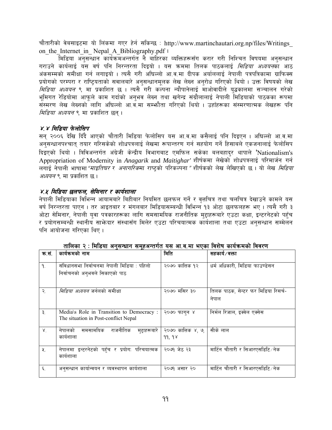चौतारीको वेबसाइटमा यो लिंकमा गएर हेर्न सकिन्छ : http://www.martinchautari.org.np/files/Writings on the Internet in Nepal A Bibliography.pdf I

\_<br>मिडिया अनसन्धान कार्यक्रमअन्तर्गत नै बाहिरका व्यक्तिहरूसँग करार गरी निश्चित विषयमा अनसन्धान गराउने कार्यलाई यस वर्ष पनि निरन्तरता दिइयो । यस क्रममा तिलक पाठकलाई *मिडिया अध्ययन*का आठ अंकसम्मको समीक्षा गर्न लगाइयो । त्यसै गरी अघिल्लो आ.व.मा दीपक अर्याललाई नेपाली पत्रपत्रिकामा ग्राफिक्स प्रयोगको परम्परा र राष्ट्रियताको सवालबारे अनुसन्धानमूलक लेख लेख्न अनुरोध गरिएको थियो । उक्त विषयको लेख *मिडिया अध्ययन* ९ मा<sup>ं</sup> प्रकाशित छ । त्यसै गरी कल्पना न्यौपानेलाई माओवादीले युद्धकालमा सञ्चालन गरेको भमिगत रेडियोमा आफले काम गर्दाको अनभव लेख्न तथा खगेन्द्र संग्रौलालाई नेपाली मिडियाको पाठकका रूपमा संस्मरण लेख लेख्नको लागि अघिल्लो आ.व.मा सम्भुौता गरिएको थियो । उहाँहरूका संस्मरणात्मक लेखहरू पनि *मिडिया अध्ययन* ९ मा प्रकाशित छन ।

# ४.४ मिडिया फेलोसिप

सन् २००६ देखि दिँदै आएको चौतारी मिडिया फेलोसिप यस आ.व.मा कसैलाई पनि दिइएन । अघिल्लो आ.व.मा ्<br>अनुसन्धानपश्चात् तयार गरिसकेको शोधपत्रलाई लेखमा रूपान्तरण गर्न सहयोग गर्ने हिसाबले एकजनालाई फेलोसिप दिइएको थियो । त्रिविअन्तर्गत अंग्रेजी केन्द्रीय विभागबाट एमफिल सकेका बलबहादर थापाले 'Nationalism's Appropriation of Modernity in Anagarik and Maitighar' शीर्षकमा लेखेको शोधपत्रलाई परिमार्जन गर्न लगाई नेपाली भाषामा*"माइतिघर र अनागरिक*मा राष्टको परिकल्पना*"* शीर्षकको लेख लेखिएको छ । यो लेख *मिडिया अध्ययन* ९ मा प्रकाशित छ ।

# ४.४ मिडिया छलफल. सेमिनार र कार्यशाला

नेपाली मिडियाका विभिन्न आयामबारे बिहीबार नियमित छलफल गर्ने र वृत्तचित्र तथा चलचित्र देखाउने कामले यस वर्ष निरन्तरता पाएन । तर आइतबार र मंगलबार मिडियासम्बन्धी विभिन्न **१३ ओटा छलफलहरू भए । त्यसै गरी** ३ ओटा सेमिनार, नेपाली युवा पत्रकारहरूका लागि समसामयिक राजनीतिक मद्दाहरूबारे एउटा कक्षा, इन्टरनेटको पहुँच र प्रयोगसम्बन्धी स्थानीय साभेन्दार संस्थासँग मिलेर एउटा परिचयात्मक कार्यशाला तथा एउटा अनसन्धान सम्मेलन पनि आयोजना गरिएका थिए।

| क.सं.                     | कार्यक्रमको नाम                                                                      | मिति                         | सहकार्य∕वक्ता                                |
|---------------------------|--------------------------------------------------------------------------------------|------------------------------|----------------------------------------------|
| ۹.                        | <u>संविधानसभा</u> निर्वाचनमा नेपाली मिडिया : पहिलो<br>निर्वाचनको अनुभवले सिकाएको पाठ | २०७० कात्तिक १२              | धर्म अधिकारी, मिडिया फाउण्डेसन               |
| $\mathcal{R}$ .           | <i>मिडिया अध्ययन</i> जर्नलको समीक्षा                                                 | २०७० मंसिर ३०                | तिलक पाठक, सेन्टर फर मिडिया रिसर्च-<br>नेपाल |
| ३.                        | Media's Role in Transition to Democracy :<br>The situation in Post-conflict Nepal    | २०७० फाग्न ४                 | निर्मल रिजाल, इक्वेल एक्सेस                  |
| $\mathsf{X}^{\mathsf{I}}$ | राजनीतिक<br>समसामयिक<br>नेपालको<br>मुद्दाहरूबारे<br>कार्यशाला                        | २०७० कात्तिक ४, ७,<br>99, 98 | सीके लाल                                     |
| ঁ২.                       | नेपालमा इन्टरनेटको पहुँच र प्रयोग: परिचयात्मक<br>कार्यशाला                           | २०७१ जेठ २३                  | मार्टिन चौतारी र सिआरएसडिटि ∕ नेक            |
| ६.                        | अनुसन्धान कार्यान्वयन र व्यवस्थापन कार्यशाला                                         | २०७१ असार २०                 | मार्टिन चौतारी र सिआरएसडिटि ∕ नेक            |

तालिका २ : मिडिया अनसन्धान समहअन्तर्गत यस आ.व.मा भएका विशेष कार्यक्रमको विवरण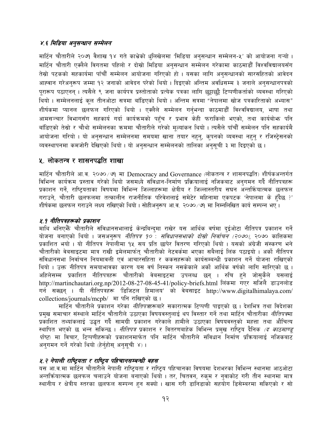# ४.६ मिडिया अनुसन्धान सम्मेलन

मार्टिन चौतारीले २०७१ वैशाख १४ गते काभ्रेको धुलिखेलमा 'मिडिया अनुसन्धान सम्मेलन-५' को आयोजना गऱ्यो । मार्टिन चौतारी एक्लैले विगतमा पहिलो र दोस्रो मिडिया अनुसन्धान सम्मेलन गरेकामा काठमाडौँ विश्वविद्यालयसँग तेस्रो पटकको सहकार्यमा पाँचौँ सम्मेलन आयोजना गरिएको हो । यसका लागि अनुसन्धानको सारसहितको आवेदन आह्वान गरेअनुरूप जम्मा १२ जनाको आवेदन परेको थियो । दिइएको अन्तिम अवधिसम्म ३ जनाले अनुसन्धानपत्रको पुरारूप पठाएनन् । त्यसैले ९ जना कार्यपत्र प्रस्तोताको प्रत्येक पत्रका लागि छट्टाछट्टै टिप्पणीकर्ताको व्यवस्था गरिएको थियो । सम्मेलनलाई कल तीनओटा सत्रमा बाँडिएको थियो । अन्तिम सत्रमा "नेपालमा खोज पत्रकारिताको अभ्यास" शीर्षकमा प्यानल छलफल गरिएको थियो । एक्लैले सम्मेलन गर्नभन्दा काठमाडौँ विश्वविद्यालय, भाषा तथा आमसञ्चार विभागसँग सहकार्य गर्दा कार्यक्रमको पहुँच र प्रभाव केही फराकिलो भएको, तथा कार्यबोभ्रु पनि बाँडिएको तेस्रो र चौथो सम्मेलनका क्रममा चौतारीले गरेको मूल्यांकन थियो । त्यसैले पाँचौँ सम्मेलन पनि सहकार्यमै आयोजना गरियो । यो अनुसन्धान सम्मेलनमा समयमा खाना तयार नहनु, कुपनको व्यवस्था नहनु र रजिस्ट्रेसनको व्यवस्थापनमा कमजोरी देखिएको थियो । यो अनुसन्धान सम्मेलनको तालिका अनुसूची ३ मा दिइएको छ ।

# <u> ४. लोकतन्त्र र शासनपद्धति शाखा</u>

मार्टिन चौतारीले आ.व. २०७० ⁄ ७१ मा Democracy and Governance (लोकतन्त्र र शासनपद्धति) शीर्षकअन्तर्गत विभिन्न कार्यक्रम प्रस्ताव गरेको थियो जसमध्ये संविधान-निर्माण प्रक्रियालाई नजिकबाट अनुगमन गर्दै नीतिपत्रहरू प्रकाशन गर्ने, राष्ट्रियताका विषयमा विभिन्न जिल्लाहरूमा क्षेत्रीय र जिल्लास्तरीय सघन अन्तर्कियात्मक छलफल गराउने, चौतारी छलफलमा तत्कालीन राजनीतिक परिवेशलाई समेटेर महिनामा एकपटक 'नेपालमा के हँदैछ ?' शीर्षकमा छलफल गराउने लक्ष्य राखिएको थियो । सोहीअनुरूप आ.व. २०७०/७१ मा निम्नलिखित कार्य सम्पन्न भए ।

## ४.१ नीतिपत्रहरूको प्रकाशन

माथि भनिएभैँ चौतारीले संविधानसभालाई केन्द्रबिन्दुमा राखेर यस आर्थिक वर्षमा दुईओटा नीतिपत्र प्रकाशन गर्ने योजना बनाएको थियो । जसअनरूप *नीतिपत्र १० : संविधानसभाको दोस्रो निर्वाचन (२०७०)*, २०७० कात्तिकमा प्रकाशित भयो । यो नीतिपत्र नेपालीमा १५ सय प्रति छापेर वितरण गरिएको थियो । यसको अंग्रेजी संस्करण भने चौतारीको वेबसाइटमा मात्र राखी इमेलमार्फत चौतारीको नेटवर्कमा भएका सबैलाई लिंक पठाइयो । अर्को नीतिपत्र संविधानसभा निर्वाचन नियमावली एवं आचारसंहिता र ककसहरूको कार्यसम्बन्धी प्रकाशन गर्ने योजना राखिएको थियो । उक्त नीतिपत्र समयाभावका कारण यस वर्ष निस्कन नसकेकाले अर्को आर्थिक वर्षको लागि सारिएको छ । अहिलेसम्म प्रकाशित नीतिपत्रहरू चौतारीको वेबसाइटमा उपलब्ध छन् । रुचि हुने जोसुकैले यसलाई http://martinchautari.org.np/2012-08-27-08-45-41/policy-briefs.html लिंकमा गएर सजिलै डाउनलोड गर्न सक्छन् । यी नीतिपत्रहरू 'डिजिटल हिमालय' को वेबसाइट http://www.digitalhimalaya.com/ collections/journals/mcpb/ मा पनि राखिएको छ।

मार्टिन चौतारीले प्रकाशन गरेका *नीतिपत्र*हरूबारे सकारात्मक टिप्पणी पाइएको छ । देशभित्र तथा विदेशका प्रमुख समाचार संस्थाले मार्टिन चौतारीले उठाएका विषयवस्तुलाई थप विस्तार गर्ने तथा मार्टिन चौतारीका *नीतिपत्र*मा प्रकाशित तथ्यांकलाई उद्धत गर्दै सामग्री प्रकाशन गरेकाले हामीले उठाएका विषयवस्तुको महत्ता तथा औचित्य स्थापित भएको छ भन्न सकिन्छ । *नीतिपत्र* प्रकाशन र वितरणबाहेक विभिन्न प्रमुख राष्ट्रिय दैनिक *(द काठमाण्डू पोष्ट*) मा विचार, टिप्पणीहरूको प्रकाशनमार्फत पनि मार्टिन चौतारीले संविधान निर्माण प्रक्रियालाई नजिकबाट अनुगमन गर्ने गरेको थियो (हेर्नुहोसु अनुसुची ४)।

## ५.२ नेपाली राष्ट्रियता र राष्ट्रिय पहिचानसम्बन्धी बहस

यस आ.व.मा मार्टिन चौतारीले नेपाली राष्ट्रियता र राष्ट्रिय पहिचानका विषयमा देशभरका विभिन्न स्थानमा आठओटा अन्तर्कियात्मक छलफल चलाउने योजना बनाएको थियो । तर, चितवन, रुक्म र नुवाकोट गरी तीन स्थानमा मात्र स्थानीय र क्षेत्रीय स्तरका छलफल सम्पन्न हुन सक्यो । खास गरी डानिडाको सहयोग डिसेम्बरमा सकिएको र सो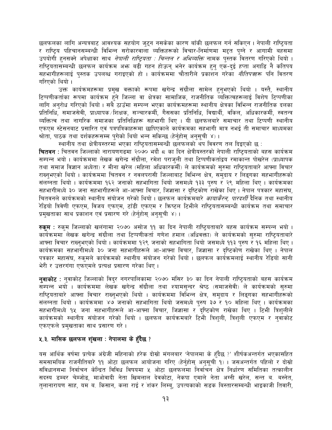छलफलका लागि अन्यत्रबाट आवश्यक सहयोग जुटुन नसकेका कारण बाँकी छलफल गर्न सकिएन । नेपाली राष्ट्रियता र राष्ट्रिय पहिचानसम्बन्धी विभिन्न सरोकारवाला व्यक्तिहरूको विचार-निर्माणमा मद्दत पुग्ने र आगामी बहसमा उपयोगी हनसक्ने अपेक्षाका साथ *नेपाली राष्ट्रियता : चिन्तन र अभिव्यक्ति* नामक पुस्तक वितरण गरिएको थियो । राष्टियतासम्बन्धी छलफल कार्यक्रम अफ्र बढी गहन होऊन भनेर कार्यक्रम हुन एक-दई हप्ता अगाडि नै कतिपय सहभागीहरूलाई पुस्तक उपलब्ध गराइएको हो । कार्यक्रममा चौतारीले प्रकाशन गरेका *नीतिपत्र*हरू पनि वितरण गरिएको थियो ।

उक्त कार्यक्रमहरूमा प्रमुख वक्ताको रूपमा खगेन्द्र संग्रौला सामेल हुनुभएको थियो । यस्तै, स्थानीय टिप्पणीकर्ताका रूपमा कार्यक्रम हुने जिल्ला वा क्षेत्रका सामाजिक, राजनीतिक व्यक्तित्वहरूलाई विशेष टिप्पणीका लागि अनरोध गरिएको थियो । सबै ठाउँमा सम्पन्न भएका कार्यक्रमहरूमा स्थानीय क्षेत्रका विभिन्न राजनीतिक दलका प्रतिनिधि, समाजसेवी, प्राध्यापक /शिक्षक, सञ्चारकर्मी, गैससका प्रतिनिधि, विद्यार्थी, वकिल, अधिकारकर्मी, स्वतन्त्र व्यक्तित्व तथा नागरिक समाजका प्रतिनिधिहरू सहभागी थिए । यी छलफलबारे समाचार तथा टिप्पणी स्थानीय एफएम स्टेसनबाट प्रसारित एवं पत्रपत्रिकाहरूमा छापिएकाले कार्यक्रमका सहभागी मात्र नभई ती समाचार माध्यमका श्रोता, पाठक तथा दर्शकहरूसम्म पुगेको थियो भन्न सकिन्छ (हेर्नुहोसु अनुसूची ४)।

स्थानीय तथा क्षेत्रीयस्तरमा भएका राष्टियतासम्बन्धी छलफलको थप विवरण तल दिइएको छ :

**चितवन** : चितवन जिल्लाको नारायणगढमा २०७० भदौ ८ का दिन क्षेत्रीयस्तरको नेपाली राष्टियताको बहस कार्यक्रम सम्पन्न भयो । कार्यक्रममा लेखक खगेन्द्र सँग्रौला, रमेश पराजुली तथा टिप्पणीकर्ताद्वय रमाकान्त पोखरेल (प्राध्यापक तथा समाज विज्ञान अध्येता) र मीना खरेल (महिला अधिकारकर्मी) ले कार्यक्रमको सुरुमा राष्ट्रियताबारे आफ्ना विचार राख्नुभएको थियो । कार्यक्रममा चितवन र नवलपरासी जिल्लाबाट विभिन्न क्षेत्र, समुदाय र लिङ्गका सहभागीहरूको संलग्नता थियो । कार्यक्रममा १६२ जनाको सहभागिता थियो जसमध्ये १३३ पुरुष र २९ महिला थिए । कार्यक्रमका सहभागीमध्ये ३० जना सहभागीहरूले आ-आफ्ना विचार, जिज्ञासा र दृष्टिकोण राखेका थिए। नेपाल पत्रकार महासंघ, चितवनले कार्यक्रमको स्थानीय संयोजन गरेको थियो । छलफल कार्यक्रमबारे *कायाकैरन, पारदर्शी* दैनिक तथा स्थानीय रेडियो त्रिवेणी एफएम, विजय एफएम, टाँडी एफएम र क्रिष्टल टिभीले राष्ट्रियतासम्बन्धी कार्यक्रम तथा समाचार प्रमुखताका साथ प्रकाशन एवं प्रसारण गरे (हेर्नुहोस् अनुसूची ४)।

**रुकुम** : रुकुम जिल्लाको खलंगामा २०७० असोज ११ का दिन नेपाली राष्टियताबारे बहस कार्यक्रम सम्पन्न भयो । कार्यक्रममा लेखक खगेन्द्र संग्रौला तथा टिप्पणीकर्ता गणेश हमाल (अधिवक्ता) ले कार्यक्रमको सुरुमा राष्ट्रियताबारे आफ्ना विचार राख्नुभएको थियो । कार्यक्रममा १२९ जनाको सहभागिता थियो जसमध्ये ११३ पुरुष र १६ महिला थिए । कार्यक्रमका सहभागीमध्ये ३० जना सहभागीहरूले आ-आफ्ना विचार, जिज्ञासा र दृष्टिकोण राखेका थिए । नेपाल पत्रकार महासंघ, रुकुमले कार्यक्रमको स्थानीय संयोजन गरेको थियो । छलफल कार्यक्रमलाई स्थानीय रेडियो सानी भेरी र उत्तरगंगा एफएमले प्रत्यक्ष प्रसारण गरेका थिए।

नवाकोट : नुवाकोट जिल्लाको विदुर नगरपालिकामा २०७० मंसिर ३० का दिन नेपाली राष्ट्रियताको बहस कार्यक्रम सम्पन्न भयो । कार्यक्रममा लेखक खगेन्द्र सँग्रौला तथा श्यामसुन्दर श्रेष्ठ (समाजसेवी) ले कार्यक्रमको सुरुमा राष्ट्रियताबारे आफ्ना विचार राख्नुभएको थियो । कार्यक्रममा विभिन्न क्षेत्र, समुदाय र लिङ्गका सहभागीहरूको संलग्नता थियो । कार्यक्रममा ४७ जनाको सहभागिता थियो जसमध्ये पुरुष ३७ र १० महिला थिए । कार्यक्रमका सहभागीमध्ये १५ जना सहभागीहरूले आ-आफ्ना विचार, जिज्ञासा र दृष्टिकोण राखेका थिए । टिभी त्रिशुलीले कार्यक्रमको स्थानीय संयोजन गरेको थियो । छलफल कार्यक्रमबारे टिभी त्रिशुली, त्रिशुली एफएम र नुवाकोट एफएफले प्रमुखताका साथ प्रसारण गरे।

## ५.३. मासिक छलफल शृंखला : नेपालमा के हुँदैछ ?

यस आर्थिक वर्षमा प्रत्येक अंग्रेजी महिनाको हरेक दोस्रो मंगलबार 'नेपालमा के हुँदैछ ?' शीर्षकअन्तर्गत भएकासहित समसामयिक राजनीतिबारे ११ ओटा छलफल आयोजना गरिए (हेर्नुहोस् अनुसूची १) । जसअन्तर्गत पहिलो र दोस्रो संविधानसभा निर्वाचन केन्द्रित विविध विषयमा ५ ओटा छलफलमा निर्वाचन क्षेत्र निर्धारण समितिका तत्कालीन सदस्य डम्बर चेम्जोड, माओवादी नेता खिमलाल देवकोटा, नेकपा एमाले नेता अग्नी खरेल, सन्त ब. बस्नेत, तुलानारायण साह, यम ब. किसान, कला राई र शंकर लिम्बु, उपत्यकाको सडक बिस्तारसम्बन्धी भाइकाजी तिवारी,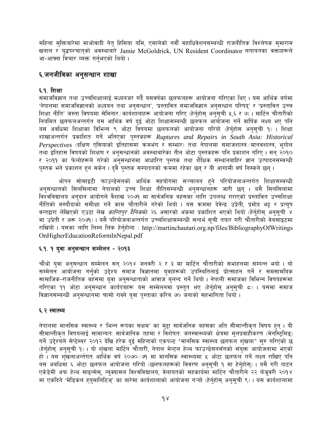महिला मुक्तिबारेमा माओवादी नेतृ हिसिया यमि, एमालेको नवौँ महाधिवेशनसम्बन्धी राजनीतिक विश्लेषक मुमाराम खनाल र युद्धपश्चात्को अवस्थाबारे Jamie McGoldrick, UN Resident Coordinator लगायतका वक्ताहरूले आ-आफ्ना विचार व्यक्त गर्नभएको थियो।

# ६.जनजीविका अनुसन्धान शाखा

# ६.१. शिक्षा

समाजविज्ञान तथा उच्चशिक्षालाई मध्यनजर गर्दै यसवर्षका छलफलहरू आयोजना गरिएका थिए । यस आर्थिक बर्षमा 'नेपालमा समाजविज्ञानको अध्ययन तथा अनुसन्धान', 'प्रस्तावित समाजविज्ञान अनुसन्धान परिषद्' र 'प्रस्तावित उच्च शिक्षा नीति' जस्ता विषयमा सेमिनार ब्रार्यशालाहरू आयोजना गरिए (हेर्नुहोस् अनुसूची ५,६ र ७)। मार्टिन चौतारीको नियमित छलफलअन्तर्गत यस आर्थिक वर्ष दुई ओटा शिक्षासम्बन्धी छलफल आयोजना गर्ने वार्षिक लक्ष्य भए पनि यस अवधिमा शिक्षाका विभिन्न ९ ओटा विषयमा छलफलको आयोजना गरियो (हेर्नुहोस अनुसूची १) । शिक्षा शाखाअन्तर्गत प्रकाशित गर्ने भनिएका पुस्तकहरू Ruptures and Repairs in South Asia: Historical Perspectives (दक्षिण एसियाको इतिहासमा क्रमभंग र सम्भार) तथा नेपालमा समाजशास्त्र मानवशास्त्र, भूगोल तथा इतिहास विषयको शिक्षण र अनुसन्धानको अवस्थाबारेका तीन ओटा पुस्तकहरू पनि प्रकाशन गरिए । सन् २०१० र २०११ का फेलोहरूले गरेको अनुसन्धानमा आधारित पुस्तक तथा शैक्षिक संस्थानबाहिर ज्ञान उत्पादनसम्बन्धी पस्तक भने प्रकाशन हन सकेन । दुवै पुस्तक सम्पादनको क्रममा रहेका छन् र यी आगामी वर्ष निस्कने छन् ।

ओपन सोसाइटी फाउन्डेसनको आर्थिक सहयोगमा सञ्चालन हुने परियोजनाअन्तर्गत शिक्षासम्बन्धी अनुसन्धानको सिलसिलामा नेपालको उच्च शिक्षा नीतिसम्बन्धी अनुसन्धानँहरू जारी छन् । यसै सिलसिलामा विश्वविद्यालय अनुदान आयोगले वैशाख २०७१ मा सार्वजनिक बहसका लागि उपलब्ध गराएको प्रस्तावित उच्चशिक्षा नीतिको मस्यौदाको समीक्षा गर्ने काम चौतारीले गरेको थियो । यस क्रममा देवेन्द्र उप्रेती, प्रमोद भट्ट र प्रत्युष वन्तद्वारा लेखिएको एउटा लेख *कान्तिपुर दैनिक*को २६ असारको अंकमा प्रकाशित भएको थियो (हेर्नुहोस् अनुसूची ४ मा उप्रेती र अरू २०७१)। यसै परियोजनाअन्तर्गत उच्चशिक्षासम्बन्धी सन्दर्भ सुची तयार गरी चौतारीको वेबसाइटमा राखियो । यसका लागि निम्न लिंक हेर्नहोला: http://martinchautari.org.np/files/BibliographyOfWritings OnHigherEducationReformInNepal.pdf

## ६.१. १ युवा अनुसन्धान सम्मेलन - २०१३

चौथो युवा अनुसन्धान सम्मेलन सन् २०१४ जनवरी २ र ३ मा मार्टिन चौतारीको सभाहलमा सम्पन्न भयो । यो सम्मेलन आयोजना गर्नुको उद्देश्य समाज विज्ञानमा युवाहरूको उपस्थितिलाई प्रोत्साहन गर्ने र समसामयिक सामाजिक-राजनीतिक बहसमा युवा अनुसन्धाताको आवाज<sup>ँ</sup> बुलन्द गर्ने थियो । नेपाली समाजका विभिन्न विषयहरूमा गरिएका ११ ओटा अनुसन्धान कार्यपत्रहरू यस सम्मेलनमा प्रस्तुत भए (हेर्नुहोस् अनुसूची ८) । यसमा समाज विज्ञानसम्बन्धी अनुसन्धानमा चासो राख्ने युवा पुस्ताका करिब ७० जनाको सहभागिता थियो ।

## ६.२ स्वास्थ्य

नेपालमा मानसिक स्वास्थ्य र 'भिन्न रूपका सक्षम' का मुद्दा सार्वजनिक बहसका अति सीमान्तीकृत विषय हुन् । यी सीमान्तीकृत विषयलाई सामान्यतः सार्वजानिक तहमा र विशेषतः जनस्वास्थ्यको क्षेत्रमा मुलप्रवाहीकरण (मेनस्ट्रिमिङ्) गर्ने उद्देश्यले सेप्टेम्बर २०१२ देखि हरेक दुई महिनाको एकपल्ट "मानसिक स्वास्थ्य छलफल शृंखला" सुरु गरिएको छ (हेर्नुहोस् अनुसूची १) । यो शृंखला मार्टिन चौतारी, नेपाल मेन्टल हेल्थ फाउन्डेसनसँगको संयुक्त आयोजनामा भएको हो । यस शृंखलाअर्न्तगत आर्थिक वर्ष २०७०/७१ मा मानसिक स्वास्थ्यमा ५ ओटा छलफल गर्ने लक्ष्य राखिए पनि यस अबधिमा ६ ओटा छलफल आयोजना गरियो (छलफलहरूको विवरण अनुसूची १ मा हेर्नुहोस्) । यसै गरी पाटन एकेडेमी अफ हेल्थ साइन्सेस्, न्युक्यासल विश्वविद्यालय, वेलायतको सहकार्यमा मार्टिन चौतारीले २२ फेब्रुवरी २०१४ मा एकदिने 'मेडिकल हयुमानिटिजु' का बारेमा कार्यशालाको आयोजना गऱ्यो (हेर्नुहोसु अनुसूची ९)। यस कार्यशालामा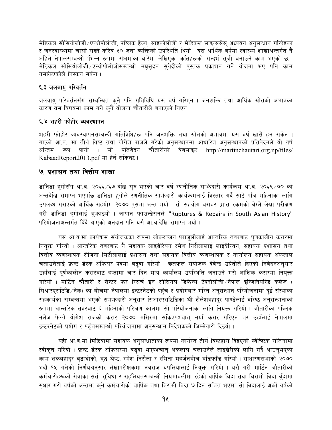मेडिकल सोसियोलोजी /एन्थ्रोपोलोजी, पब्लिक हेल्थ, साइकोलोजी र मेडिकल साइन्ससेस अध्ययन अनुसन्धान गरिरेहका र जनस्वास्थ्यमा चासो राख्ने करिब ३० जना व्यक्तिको उपस्थिति थियो । यस आर्थिक वर्षमा स्वास्थ्य शाखाअन्तर्गत नै अहिले नेपालसम्बन्धी 'भिन्न रूपमा संक्षम'का बारेमा लेखिएका कृतिहरूको सन्दर्भ सूची बनाउने काम भएको छ । मेडिकल सोसियोलोजी /एन्थ्रोपोलोजीसम्बन्धी मधसदन सुवेदीको पुस्तक प्रकाशन गर्ने योजना भए पनि काम नसकिएकोले निस्कन सकेन।

# ६.३ जलबाय परिवर्तन

जलवाय् परिवर्तनसँग सम्बन्धित क्नै पनि गतिविधि यस वर्ष गरिएन । जनशक्ति तथा आर्थिक स्रोतको अभावका कारण यस विषयमा काम गर्ने कुनै योजना चौतारीले बनाएको थिएन।

## ६.४ शहरी फोहोर व्यवस्थापन

शहरी फोहोर व्यवस्थापनसम्बन्धी गतिविधिहरू पनि जनशक्ति तथा स्रोतको अभावमा यस वर्ष खासै हन सकेन । गएको आ.व. मा तीर्थ विष्ट तथा योगेश राजले गरेको अनुसन्धानमा आधारित अनुसन्धानको प्रतिवेदनले यो वर्ष चौतारीको वेबसाइट अन्तिम रूप पायो  $\mathbf{1}$ सो प्रतिवेदन http://martinchautari.org.np/files/ KabaadReport2013.pdf मा हेर्न सकिन्छ।

# ७ प्रशासन तथा वित्तीय शाखा

डानिडा हुगोसँग आ.व. २०६६/६७ देखि सुरु भएको चार वर्षे रणनीतिक साभेजदारी कार्यक्रम आ.व. २०६९/७० को अन्तदेखि समाप्त भएपछि डानिडा हगोले रणनीतिक साभेनदारी कार्यक्रमलाई विस्तार गर्दै साढे पाँच महिनाका लागि उपलब्ध गराएको आर्थिक सहयोग २०७० पुसमा अन्त भयो । सो सहयोग बराबर प्राप्त रकमको बेग्लै लेखा परीक्षण गरी डानिडा हुगोलाई बुफ़ाइयो । जापान फाउन्डेसनले "Ruptures & Repairs in South Asian History" परियोजनाअन्तर्गत दिंदै आएको अनुदान पनि यसै आ.व.देखि समाप्त भयो।

यस आ.व.मा कार्यक्रम संयोजकका रूपमा लोकरञ्जन पराजुलीलाई आन्तरिक तवरबाट पूर्णकालीन करारमा नियक्त गरियो । आन्तरिक तवरबाट नै सहायक लाइब्रेरियन रमेश निरौलालाई लाईब्रेरियन, सहायक प्रशासन तथा वित्तीय व्यवस्थापक रोजिना सिटौलालाई प्रशासन तथा सहायक वित्तीय व्यवस्थापक र कार्यालय सहायक अंकलाल चलाउनेलाई फ्रन्ट डेस्क अफिसर पदमा बढ्वा गरियो । छलफल संयोजक देवेन्द्र उप्रेतीले दिएको निवेदनअनुसार उहाँलाई पुर्णकालीन करारबाट हप्तामा चार दिन मात्र कार्यालय उपस्थिति जनाउने गरी आंशिक करारमा नियुक्त गरियो । मार्टिन चौतारी र सेन्टर फर रिसर्च इन सोसियल डिफेन्स टेक्नोलोजी ∕नेपाल इन्जिनियरिङ कलेज ( सिआरएसटिडि ∕ नेक) का बीचमा नेपालमा इन्टरनेटको पहुँच र प्रयोगबारे गरिने अनुसन्धान परियोजनामा दुई संस्थाको सहकार्यका सम्बन्धमा भएको समभ्रुदारी अनुसार सिआरएसटिडिका श्री शैलेशबहादुर पाण्डेलाई वरिष्ठ अनुसन्धाताको रूपमा आन्तरिक तवरबाट ६ महिनाको परिक्षण कालमा सो परियोजनाका लागि नियुक्त गरियो । चौतारीका पब्लिक नलेज फेलो योगेश राजको करार २०७० मंसिरमा सकिएपश्चात् नयाँ करार गरिएन तर उहाँलाई नेपालमा इन्टरनेटको प्रयोग र पहुँचसम्बन्धी परियोजनामा अनुसन्धान निर्देशकको जिम्मेवारी दिइयो ।

यही आ.व.मा मिडियामा सहायक अनुसन्धाताका रूपमा कार्यरत तीर्थ विष्टद्वारा दिइएको स्वेच्छिक राजिनामा स्वीकृत गरियो । फ्रन्ट डेस्क अफिसरमा बढुवा भएपश्चात् अंकलाल चलाउनेले लाइब्रेरीको लागि गर्दै आउनुभएको काम शकबहादुर बुढाथोकी, बुद्ध श्रेष्ठ, रमेश निरौला र रमिता महर्जनबीच बाँडफाँड गरियो । साधारणसभाको २०७० भदौ १५ गतेको निर्णयअनुसार लेखापरीक्षकमा नवराज थपलियालाई नियुक्त गरियो । यसै गरी मार्टिन चौतारीको कर्मचारीहरूको सेवाका सर्त, सविधा र सहलियतसम्बन्धी नियमावलीमा रहेको वार्षिक बिदा तथा बिरामी बिदा बँदामा सुधार गरी वर्षको अन्तमा कुनै कर्मचारीको बार्षिक तथा बिरामी विदा ७ दिन संचित भएमा सो बिदालाई अर्को वर्षको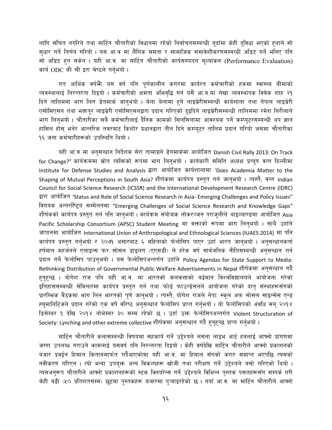लागि संचित नगरिने तथा मार्टिन चौतारीको विधानमा रहेको निर्वाचनसम्बन्धी बुदाँमा केही द्विधा भएको हुनाले सो सुधार गर्ने निर्णय गरियो । यस आ.व मा लैंगिक समता र सामाजिक समावेशीकरणसम्बन्धी अडिट गर्ने भनिए पनि सो अडिट हन सकेन। यही आ.व. मा मार्टिन चौतारीको कार्यसम्पादन मूल्यांकन (Performance Evaluation) कार्य ODC की श्री इरा श्रेष्ठले गर्नभयो।

गत आर्थिक वर्षफैँ यस वर्ष पनि पर्णकालीन करारमा कार्यरत कर्मचारीको हकमा स्वास्थ्य बीमाको व्यवस्थालाई निरन्तरता दिइयो । कर्मचारीको क्षमता अभिवद्धि गर्न यसै आ.व.मा लेखा व्यवस्थापक विवेक शाह २१ दिने तालिममा भाग लिन डेनमार्क जानुभयो । बेला बेलामा हुने लाइब्रेरीसम्बन्धी कार्यशाला तथा नेपाल लाइब्रेरी एसोसिएसन तथा भक्तपुर लाइब्रेरी एसोसिएसनद्वारा प्रदान गरिएको दुइदिने लाइब्रेरीसम्बन्धी तालिममा रमेश निरौलाले भाग लिनुभयो । चौतारीका सबै कर्मचारीलाई दैनिक कामको सिलसिलामा आवश्यक पर्ने कम्प्युटरसम्बन्धी थप ज्ञान हासिल होस् भनेर आन्तरिक तवरबाट किशोर प्रधानद्वारा तीन दिने कम्प्यूटर तालिम प्रदान गरियो जसमा चौतारीका १६ जना कर्मचारीहरूको उपस्थिति थियो ।

यही आ.व मा अनुसन्धान निर्देशक सेरा तामाडले डेनमार्कमा आयोजित Danish Civil Rally 2013: On Track for Change?" कार्यक्रममा स्रोत व्यक्तिको रूपमा भाग लिन्भयो । कार्यकारी समिति अध्यक्ष प्रत्यूष वन्त दिल्लीमा Institute for Defense Studies and Analysis द्वारा आयोजित कार्यशालामा 'Does Academia Matter to the Shaping of Mutual Perceptions in South Asia? शीर्षकमा कार्यपत्र प्रस्तुत गर्न जानुभयो । त्यस्तै, वन्त Indian Council for Social Science Research (ICSSR) and the International Development Research Centre (IDRC) द्वारा आयोजित 'Status and Role of Social Science Research in Asia- Emerging Challenges and Policy Issues" विषयक अन्तर्राष्ट्रिय सम्मेलनमा "Emerging Challenges of Social Science Research and Knowledge Gaps" शीर्षकको कार्यपत्र प्रस्तुत गर्न पनि जानुभयो । कार्यक्रम संयोजक लोकरञ्जन पराजुलीले थाइल्याण्डमा आयोजित Asia Pacific Scholarship Consortium (APSC) Student Meeting मा वक्ताको रूपमा भाग लिनुभयो । साथै उहाँले जापानमा आयोजित International Union of Anthropological and Ethnological Sciences (IUAES 2014) मा पनि कार्यपत्र प्रस्तुत गर्नुभयो र २०७१ असारबाट ६ महिनाको फेलोसिप पाएर उहाँ भारत जानुभयो । अनुसन्धानकर्ता हर्षमान महर्जनले एलाइन्स फर सोसल डाइलग (एएसडी) ले हरेक वर्ष सार्वजनिक नीतिसम्बन्धी अनुसन्धान गर्न प्रदान गर्ने फेलोसिप पाउनुभयो । यस फेलोसिपअन्तर्गत उहाँले Policy Agendas for State Support to Media: Rethinking Distribution of Governmental Public Welfare Advertisements in Nepal शीर्षकमा अनुसन्धान गर्दै हुनुहुन्छ । योगेश राज पनि यही आ.व. मा भारतको कलकत्ताको बर्द्वमान विश्वविद्यालयले आयोजना गरेको इतिहाससम्बन्धी सेमिनारमा कार्यपत्र प्रस्तुत गर्न तथा फोर्ड फाउन्डेसनले आयोजना गरेको दातृ संस्थाहरूसँगको प्रारम्भिक बैठकमा भाग लिन भारतको पुणे जानुभयो । त्यस्तै, योगेश राजले नेपा: स्कूल अफ सोसल साइन्सेस एन्ड ह्युमानिटिजले प्रदान गरेको एक वर्षे वरिष्ठ अनुसन्धान फेलोसिप प्राप्त गर्नुभयो । यो फेलोसिपको अवधि सन् २०१४ डिसेम्बर १ देखि २०१४ नोभेम्बर ३० सम्म रहेको छ । उहाँ उक्त फेलोसिपअन्तर्गत Violent Structuration of Society: Lynching and other extreme collective शीर्षकमा अनुसन्धान गर्दै हुनुहुन्छ प्राप्त गर्नुभयो ।

मार्टिन चौतारीले कलासम्बन्धी विषयमा सहकार्य गर्ने उद्देश्यले लसना लाइभ आर्ट हबलाई आफ्नो प्रांगणमा जग्गा उपलब्ध गराउने कामलाई यसवर्ष पनि निरन्तरता दिइयो । केही वर्षदेखि मार्टिन चौतारीले आफ्नो प्रकाशनको बजार प्रवर्द्वन हिमाल किताबमार्फत गर्दैआएकोमा यही आ.व. मा हिमाल सँगको करार समाप्त भएपछि त्यसको नवीकरण गरिएन । त्यो भन्दा उपयुक्त अन्य विकल्पहरू खोजी तथा परीक्षण गर्ने उद्देश्यले यसो गरिएको थियो । त्यसअनरूप चौतारीले आफ्नो प्रकाशनहरूको स्टक क्लियरेन्स गर्ने उद्देश्यले विभिन्न पस्तक पसलहरूसँग सम्पर्क गरी केही बढी (५० प्रतिशतसम्म) छटमा पस्तकहरू बजारमा पऱ्याइरहेको छ । नयाँ आ.व. मा मार्टिन चौतारीले आफ्नो

१६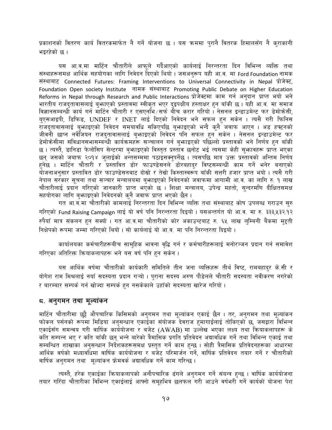प्रकाशनको वितरण कार्य वितरकमार्फत नै गर्ने योजना छ । यस क्रममा पुरानै वितरक हिमालसँग नै कुराकानी भइरहेको छ ।

यस आ.व.मा मार्टिन चौतारीले आफुले गर्दैआएको कार्यलाई निरन्तरता दिन विभिन्न व्यक्ति तथा संस्थाहरूसमक्ष आर्थिक सहयोगका लागि निवेदन दिएको थियो । जसअनुरूप यही आ.व. मा Ford Foundation नामक संस्थाबाट Connected Futures: Framing Interventions to Universal Connectivity in Nepal प्रोजेक्ट, Foundation Open society Institute नामक संस्थाबाट Promoting Public Debate on Higher Education Reforms in Nepal through Research and Public Interactions प्रोजेक्टमा काम गर्न अनुदान प्राप्त भयो भने भारतीय राजद्तावासलाई ब्भ्राएको प्रस्तावमा स्वीकृत भएर दइपक्षीय हस्ताक्षर हुन बाँकी छ । यही आ.व. मा समाज विज्ञानसम्बन्धी कार्य गर्न मार्टिन चौतारी र एसएनभि ∕सर्फ बीच करार गरियो । नेसनल इन्डाउमेन्ट फर डेमोकेसी, युएसआइपी, डिफिड, UNDEF र INET लाई दिएको निवेदन भने सफल हुन सकेन । त्यसै गरी फिनिस राजदतावासलाई बुभ्राइएको निवेदन समयावधि सकिएपछि बुभ्राइएको भन्दै कुनै जवाफ आएन । अड हफ्टनको जीवनी छाप्न नर्वेजियन राजदतावासलाई बुभ्राइएको निवेदन पनि सफल हुन सकेन । नेसनल इन्डाउमेन्ट फर डेमोक्रेसीमा संविधानसभासम्बन्धी कार्यक्रमहरू सञ्चालन गर्न बुभ्फाइएको पछिल्लो प्रस्तावको भने निर्णय हुन बाँकी छ । त्यस्तै, डानिडा फेलोसिप सेन्टरमा बुभाइएको विस्तुत प्रस्ताव छनोट भई त्यसमा केही सुभावहरू प्राप्त भएका छन् जसको जबाफ २०१४ जुलाईको अन्तसम्ममा पठाइसक्नुपर्नेछ । त्यसपछि मात्र उक्त प्रस्तावको अन्तिम निर्णय हुनेछ । मार्टिन चौतारी र प्रस्तावित डोर फाउण्डेसनले डोरबहादुर विष्टसम्बन्धी काम गर्ने भनेर बनाएको योजनाअनुसार प्रस्तावित डोर फाउण्डेसनबाट दोस्रो र तेस्रो किस्तास्वरूप बाँकी सत्तरी हजार प्राप्त भयो । त्यसै गरी नेपाल सरकार सूचना तथा सञ्चार मन्त्रालयमा बुभ्राइएको निवेदनको जवाफमा आगामी आ.व. का लागि रु. १ लाख चौतारीलाई प्रदान गरिएको जानकारी प्राप्त भएको छ । शिक्षा मन्त्रालय, उपेन्द्र महतो, सुन्दरमणि दीक्षितसमक्ष सहयोगका लागि बुभ्राइएको निवेदनको कुनै जवाफ प्राप्त भएको छैन ।

गत आ़बॅ.मा चौतारीको कामलाई निरन्तरता दिन विभिन्न व्यक्ति तथा संस्थाबाट कोष उपलब्ध गराउन सुरु गरिएको Fund Raising Campaign लाई यो वर्ष पनि निरन्तरता दिइयो । यसअन्तर्गत यो आ.व. मा रु. ३३३,५३२.१२ रुपैयाँ मात्र संकलन हुन सक्यो । गत आ.व.मा चौतारीको कोर अकाउन्टबाट रु. ६५ लाख लुम्बिनी बैंकमा मुद्दती निक्षेपको रूपमा जम्मा गरिएको थियो । सो कार्यलाई यो आ.व. मा पनि निरन्तरता दिइयो ।

कार्यालयका कर्मचारीहरूबीच सामुहिक भावना वृद्धि गर्न र कर्मचारीहरूलाई मनोरञ्जन प्रदान गर्न समावेश गरिएका अतिरिक्त क्रियाकलापहरू भने यस वर्ष पनि हन सकेन ।

यस आर्थिक वर्षमा चौतारीको कार्यकारी समितिले तीन जना व्यक्तिहरू तीर्थ विष्ट, रामबहादुर के.सी र योगेश राम मिश्रलाई नयाँ सदस्यता प्रदान गऱ्यो । पुराना सदस्य अरुण पौडेलले चौतारी सदस्यता नवीकरण नगरेको र बारम्बार सम्पर्क गर्न खोज्दा सम्पर्क हुन नसकेकाले उहाँको सदस्यता खारेज गरियो।

## ८. अनुगमन तथा मूल्यांकन

मार्टिन चौतारीमा छट्टै औपचारिक किसिमको अनुगमन तथा मूल्यांकन एकाई छैन । तर, अनुगमन तथा मूल्यांकन फोकल पर्सनको रूपमा मिडिया अनुसन्धान एकाईका संयोजक देवराज हमागाईलाई तोकिएको छ, जसद्वारा विभिन्न एकाईसँग समन्वय गरी वार्षिक कार्ययोजना र बजेट (AWAB) मा उल्लेख भएका लक्ष्य तथा कियाकलापहरू के कति सम्पन्न भए र कति बाँकी छन् भन्ने बारेको त्रैमासिक प्रगति प्रतिवेदन अद्यावधिक गर्ने तथा विभिन्न एकाई तथा सम्बन्धित शाखाका अनुसन्धान निर्देशकहरूसमक्ष प्रस्तुत गर्ने काम हुन्छ । सोही त्रैमासिक प्रतिवेदनहरूका आधारमा आर्थिक वर्षको मध्यावधिमा वार्षिक कार्ययोजना र बजेट परिमार्जन गर्ने, वार्षिक प्रतिवेदन तयार गर्ने र चौतारीको वार्षिक अनुगमन तथा मुल्यांकन फ्रेमवर्क अद्यावधिक गर्ने काम गरिन्छ ।

त्यस्तै, हरेक एकाईका क्रियाकलापको अनौपचारिक ढंगले अनुगमन गर्ने संयन्त्र हुन्छ । वार्षिक कार्ययोजना तयार गरिँदा चौतारीका विभिन्न एकाईलाई आफ्नो समुहभित्र छलफल गरी आउने वर्षभरी गर्ने कार्यको योजना पेश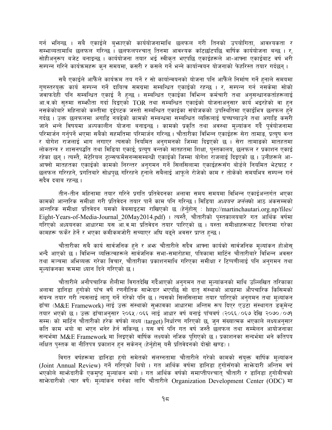गर्न भनिन्छ । सबै एकाईले बुभ्राएको कार्ययोजनामाथि छलफल गरी तिनको उपयोगिता, आवश्यकता र सम्भाव्यतामाथि छलफल गरिन्छ । छलफलपश्चात् तिनमा आवश्यक काँटछाँटपछि वार्षिक कार्ययोजना बन्छ । र, सोहीअनरूप बजेट बनाइन्छ । कार्ययोजना तयार भई स्वीकृत भएपछि एकाईहरूले आ-आफ्ना एकाईबाट वर्ष भरी सम्पन्न गरिने कार्यक्रमहरू कन समयमा. कसरी र कसले गर्ने भन्ने कार्यान्वयन योजनाको फेहरिस्त तयार गर्दछन ।

सबै एकाईले आफैँले कार्यक्रम तय गर्ने र सो कार्यान्वयनको योजना पनि आफैँले निर्माण गर्ने हुनाले समयमा गणस्तरयक्त कार्य सम्पन्न गर्ने दायित्व समग्रमा सम्बन्धित एकाईको रहन्छ । र, सम्पन्न गर्न नसकेमा सोको ्<br>जवाफदेही पनि सम्बन्धित एकाई नै हुन्छ । सम्बन्धित एकाईका विभिन्न कर्मचारी तथा अनुसन्धानकर्ताहरूलाई आ.व.को सुरुमा सम्फौता गर्दा दिइएको TOR तथा सम्बन्धित एकाईको योजनाअनुसार कार्य भइरहेको वा हुन नसकेकोबारे महिनाको कम्तीमा दुईपटक जस्तो सम्बन्धित एकाईका संयोजकको उपस्थितिमा एकाईभित्र छलफल हुने गर्दछ । उक्त छलफलमा अगाडि नबढेको कामको सम्बन्धमा सम्बन्धित व्यक्तिलाई घच्घच्याउने तथा अगाडि कसरी जाने भन्ने विषयमा अल्पकालीन योजना बनाइन्छ । कामको प्रकृति तथा अवस्था मुल्यांकन गर्दै पुर्वयोजनामा परिमार्जन गर्नपर्ने भएमा सबैको सहमतिमा परिमार्जन गरिन्छ। चौतारीका विभिन्न एकाईहरू सेरा तामाङ, प्रत्यष वन्त र योगेश राजलाई भाग लगाएर त्यसको नियमित अनगमनको जिम्मा दिइएको छ । सेरा तामाङको मातहतमा लोकतन्त्र र शासनपद्धति तथा मिडिया एकाई; प्रत्यूष वन्तको मातहतमा शिक्षा, पुस्तकालय, छलफल र प्रकाशन एकाई रहेका छन्। त्यस्तै, मेटेरियल टान्सफर्मेसनन्ससम्बन्धी एकाईको जिम्मा योगेश राजलाई दिइएको छ। उनीहरूले आ-आफ्नो मातहतका एकाईको कामको निरन्तर अनुगमन गर्ने सिलसिलामा एकाईहरूसँग बोर्डले नियमित भेटघाट र छलफल गरिरहने, प्रगतिबारे सोधपुछ गरिरहने हुनाले सबैलाई आफुले रोजेको काम र तोकेको समयभित्र सम्पन्न गर्न सदैव दबाब रहन्छ ।

तीन-तीन महिनामा तयार गरिने प्रगति प्रतिवेदनका अलावा समय समयमा विभिन्न एकाईअन्तर्गत भएका कामको आन्तरिक समीक्षा गरी प्रतिवेदन तयार पार्ने काम पनि गरिन्छ । मिडिया *अध्ययन जर्नल*को आठ अंकसम्मको आन्तरिक समीक्षा प्रतिवेदन यसको वेबसाइटमा राखिएको छ (हेर्नुहोस् : http://martinchautari.org.np/files/ Eight-Years-of-Media-Journal 20May2014.pdf) । त्यस्तै, चौतारीको पुस्तकालयबारे गत आर्थिक वर्षमा गरिएको अध्ययनका आधारमा यस आ.व.मा प्रतिवेदन तयार पारिएको छ । यस्ता समीक्षाहरूबाट विगतमा गरेका कामहरू फर्केर हेर्ने र भएका कमीकमजोरी सच्याएर अघि बढ्ने अवसर प्राप्त हुन्छ।

चौतारीका सबै कार्य सार्वजनिक हुने र अफ्र चौतारीले सदैव आफ्ना कार्यको सार्वजनिक मुल्यांकन होओस् भन्दै आएको छ । विभिन्न व्यक्तित्वहरूले सार्वजनिक सभा-समारोहमा, पत्रिकामा मार्टिन चौतारीबारे विभिन्न अवसर तथा मञ्चमा अभिव्यक्त गरेका विचार, चौतारीका प्रकाशनमाथि गरिएका समीक्षा र टिप्पणीलाई पनि अनगमन तथा मल्यांकनका क्रममा ध्यान दिने गरिएको छ।

चौतारीले अनौपचारिक शैलीमा विगतदेखि गर्दैआएको अनुगमन तथा मूल्यांकनको माथि उल्लिखित तरिकाका अलावा डानिडा हुगोको पाँच वर्षे रणनीतिक साभेन्दार भएपछि सो दातु संस्थाको आग्रहमा औपचारिक किसिमको संयन्त्र तयार गरी त्यसलाई लागू गर्ने गरेको पनि छ । त्यसको सिलसिलामा तयार पारिएको अनुगमन तथा मुल्यांकन ढाँचा (M&E Framework) लाई उक्त संस्थाको सुभगवका आधारमा अन्तिम रूप दिएर एउटा संस्थागत डकमेन्ट तयार भएको छ । उक्त ढाँचाअनुसार २०६५/०६६ लाई आधार वर्ष बनाई पाँचवर्ष (२०६६/०६७ देखि २०७०/०७१ सम्म) को मार्टिन चौतारीको हरेक वर्षको लक्ष्य (target) निर्धारण गरिएको छ, जुन संख्यात्मक भएकाले लक्ष्यअनुसार कति काम भयो वा भएन भनेर हेर्न सकिन्छ । यस वर्ष पनि गत वर्ष जस्तै छलफल तथा सम्मेलन आयोजनाका सन्दर्भमा M&E Framework मा लिइएको वार्षिक लक्ष्यको नजिक पगिएको छ । प्रकाशनका सन्दर्भमा भने कतिपय लक्षित पस्तक वा नीतिपत्र प्रकाशन हन सकेनन (हेर्नहोस यसै प्रतिवेदनको दोस्रो खण्ड)।

विगत वर्षहरूमा डानिडा हुगो समेतको संलग्नतामा चौतारीले गरेको कामको संयुक्त वार्षिक मुल्यांकन (Joint Annual Review) गर्ने गरिएको थियो । गत आर्थिक वर्षमा डानिडा हुगोसँगको साफ्रेदारी अन्तिम वर्ष .<br>भएकोले साभ्रेदारीकै एकमुष्ट मूल्यांकन भयो । गत आर्थिक वर्षको समाप्तीपश्चात् चौतारी र डानिडा हुगोबीचको साफ़ेदारीको (चार वर्षे) मुल्यांकन गर्नका लागि चौतारीले Organization Development Center (ODC) मा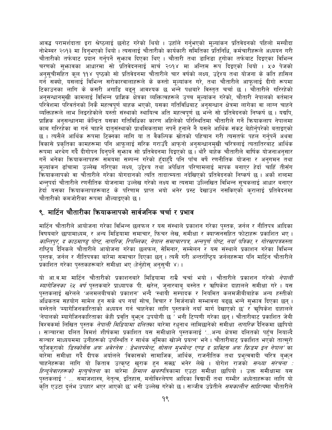आवद्ध परामर्शदाता इरा श्रेष्ठलाई छनोट गरेको थियो । उहाँले गर्नुभएको मूल्यांकन प्रतिवेदनको पहिलो मस्यौदा नोभेम्बर २०१३ मा दिनुभएको थियो । त्यसलाई चौतारीको कार्यकारी समितिका प्रतिनिधि, कर्मचारीहरूले अध्ययन गरी चौतारीको तर्फबाट प्रदान गर्नुपर्ने सुभाव दिएका थिए । चौतारी तथा डानिडा हगोका तर्फबाट दिइएका विभिन्न चरणको सुभ्रावका आधारमा सो प्रतिवेदनलाई मार्च २०१४ मा अन्तिम रूप दिइएको थियो । ५७ पेजको अनुसूचीसहित कूल ११४ पृष्ठको सो प्रतिवेदनमा चौतारीले चार वर्षको लक्ष्य, उद्देश्य तथा योजना के कति हासिल गर्न सक्यो, यसलाई विभिन्न सरोकारवालाहरूले के कस्तो मूल्यांकन गरे, तथा चौतारीले आफूलाई दीगो रूपमा टिकाउनका लागि के कसरी अगाडि बढ्नु आवश्यक छ भन्ने पक्षबारे विस्तत चर्चा छ । चौतारीले गरिरहेको अनुसन्धानमुखी कामलाई विभिन्न प्राज्ञिक क्षेत्रका व्यक्तित्वहरूले उच्च मुल्यांकन गरेको, चौतारी नेपालको वर्तमान परिवेशमा परिवर्तनको निकै महत्वपूर्ण बाहक भएको, यसका गतिविधिबाट अनुसन्धान क्षेत्रमा लागेका वा लाग्न चाहने व्यक्तिहरूले लाभ लिइरहेकोले यस्तो संस्थाको स्थायित्व अति महत्वपूर्ण छ भन्ने सो प्रतिवेदनको निष्कर्ष छ। यद्यपि, प्राज्ञिक अनुसन्धानमा केन्द्रित यसका गतिविधिका कारण अहिलेको परिस्थितिमा चौतारीले गर्ने क्रियाकलाप नेपालमा काम गरिरहेका वा गर्न चाहने दातुसंस्थाको प्राथमिकतामा नपर्ने हुनाले नै यसले आर्थिक संकट बेहोर्नुपरेको बताइएको छ । त्यसैले आर्थिक रूपमा टिक्नका लागि या त वैकल्पिक स्रोतको पहिचान गरी त्यसतर्फ पहल गर्नुपर्ने अथवा विकासे प्रकतिका कामहरूमा पनि आफलाई सरिक गराउँदै आफनो अनुसन्धानमुखी चरित्रलाई त्यतातिरबाट आर्थिक रूपमा भरथेग गर्दै दीगोपन दिनुपर्ने सुभ्फाव सो प्रतिवेदनमा दिइएको छ । थोरै बाहेक चौतारीले वार्षिक योजनाअनुसार गर्ने भनेका क्रियाकलापहरू समयमाँ सम्पन्न गरेको हुँदाहुँदै पनि पाँच वर्षे रणनीतिक योजना र अनुगमन तथा मुल्यांकन ढाँचामा उल्लेख गरिएका लक्ष्य, उद्देश्य तथा अपेक्षित परिणामलाई मापक बनाएर हेर्दा चाहिँ तीसँग कियाकलापको वा चौतारीले गरेका योगदानको त्यति तादात्म्यता नदेखिएको प्रतिवेदनको निष्कर्ष छ । अर्को शब्दमा भन्नुपर्दा चौतारीले रणनीतिक योजनामा उल्लेख गरेको लक्ष्य वा त्यसमा उल्लिखित विभिन्न सूचकलाई आधार बनाएर हेर्दा यसका क्रियाकलापहरूबाट के परिणाम प्राप्त भयो भनेर प्रस्ट देखाउन नसकिएको करालाई प्रतिवेदनमा चौतारीको कमजोरीका रूपमा औंल्याइएको छ ।

# ९. मार्टिन चौतारीका कियाकलापको सार्वजनिक चर्चा र प्रभाव

मार्टिन चौतारीले आयोजना गरेका विभिन्न छलफल र यस संस्थाले प्रकाशन गरेका पस्तक, जर्नल र नीतिपत्र आदिका विषयबारे छापामाध्यम, र अन्य मिडियामा समाचार, फिचर लेख, समीक्षा र क्याप्सनसहित फोटाहरू प्रकाशित भए । कान्तिपुर, द काठमाण्डु पोष्ट, नागरिक, रिपब्लिका, नेपाल समाचारपत्र, अन्नपूर्ण पोष्ट, नयाँ पत्रिका, र गोरखापत्रजस्ता राष्ट्रिय दैनिकले चौतारीले आयोजना गरेका छलफल, सेमिनार, सम्मेलन र यस संस्थाले प्रकाशन गरेका विभिन्न पुस्तक, जर्नल र नीतिपत्रका बारेमा समाचार दिएका छन् । त्यसै गरी अन्तर्राष्ट्रिय जर्नलहरूमा पनि मार्टिन चौतारीले प्रकाशित गरेका पुस्तकहरूबारे समीक्षा भए (हेर्नुहोसु अनुसूची ४)।

यो आ.व.मा मार्टिन चौतारीको प्रकाशनबारे मिडियामा राम्रै चर्चा भयो । चौतारीले प्रकाशन गरेको *नेपाली म्यागेजिनका २५ वर्ष* पुस्तकबारे प्राध्यापक पी. खरेल, जनारबाब बस्नेत र ऋषिकेश दाहालले समीक्षा गरे । यस पस्तकलाई खरेलले 'अलमलबीचको प्रकाशन' भन्दै 'स्थायी सम्पादक र नियमित कलमजीबीबाहेक अन्य हस्तीको ्<br>अधिकतम सहयोग सामेल हुन सके थप नयाँ सोच, विचार र सिर्जनाको सम्भावना बढ्छ भन्ने सुभाव दिएका छन् । बस्नेतले 'म्यागेजिनकारिताको अध्ययन गर्न चाहनेका लागि पुस्तकले नयाँ मार्ग देखाएको छ' र ऋषिकेश दाहालले 'नेपालको म्यागेजिनकारिताका केही प्रवति बुभून उपयोगी छ ' भनी टिप्पणी गरेका छन् । चौतारीबाट प्रकाशित जेबी विश्वकर्मा लिखित पुस्तक *नेपाली मिडियामा दलित*का बारेमा रधुनाथ लामिछानेको समीक्षा *नागरिक* दैनिकमा छापियो । सञ्चारमा दलित विमर्श शीर्षकमा प्रकाशित यस समीक्षाले पुस्तकलाई '…अन्य क्षेत्रमा दलितको पहुँच नियाल्दै सञ्चार माध्ययममा उनीहरूको उपस्थिति र सार्थक भूमिका खोज्ने प्रयत्न' भने । चौतारीबाट प्रकाशित भएको तात्सुरो फ्जिक्राको *'डिस्कोर्सेस अफ अवेरनेस : डेभलपमेन्ट, सोसल म्भमेन्ट एण्ड द प्राक्टिस अफ फ्रिडम इन नेपाल'* का बारेमा समीक्षा गर्दै दीपक अर्यालले 'विकासको सामाजिक, आर्थिक, राजनीतिक तथा प्रभुत्ववादी चरित्र बुभून चाहनेहरूका लागि यो किताव उत्कृष्ट खुराक हुन सक्छ' भनेर लेखे । योगेश राजको *सन्ध्या संरचना : हिन्दुनेवारहरूको मृत्युचेतना* का बारेमा *हिमाल खबर*पत्रिकामा एउटा समीक्षा छापियो । उक्त समीक्षामा यस पुस्तकलाई ' ... समाजशास्त्र, नेतृत्व, इतिहास, मनोविश्लेषण आदिका विद्यार्थी तथा गम्भीर अध्येताहरूका लागि यो कति एउटा दर्लभ उपहार भएर आएको छ' भनी उल्लेख गरेको छ। सञ्जीव उप्रेतीले *समकालीन साहित्य*मा चौतारीले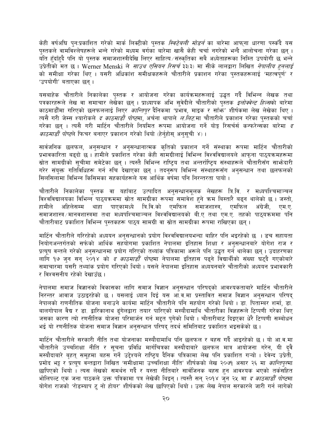केही वर्षअघि पुन:प्रकाशित गरेको मार्क लिक्टीको पुस्तक *स्विटेबली मोडर्न* का बारेमा आफ्**ना धारणा पर्स्कंदै यस** पुस्तकले वामविश्लेषहरूले भन्ने गरेको मध्यम वर्गका बारेमा खासै केही चर्चा नगरेको भन्दै आलोचना गरेका छन् । .<br>यति हँदाँहदै पनि यो पुस्तक समाजशास्त्रीदेखि लिएर साहित्य संस्कृतिका सबै अध्येताहरूका निम्ति उपयोगी छ भन्ने उप्रेतीको मत छ । Werner Menski ले *साउथ एसियन रिसर्च* ३३(३) मा सीके लालद्वारा लिखित *नेपालीय हुनलाई* को समीक्षा गरेका थिए । यसरी अधिकांश समीक्षकहरूले चौतारीले प्रकाशन गरेका पुस्तकहरूलाई 'महत्वपूर्ण' र 'उपयोगी' बताएका छन्।

यसबाहेक चौतारीले निकालेका पुस्तक र आयोजना गरेका कार्यक्रमहरूलाई उद्धृत गर्दै विभिन्न लेखक तथा पत्रकारहरूले लेख वा समाचार लेखेका छन् । प्राध्यापक अभि सुवेदीले चौतारीको पुस्तक *इलोक्वेन्ट हिल्स*को बारेमा काठमाडौँमा गरिएको छलफललाई लिएर *कान्तिपुर* दैनिकमा 'प्रभाव, माइक र साँफ़' शीर्षकमा लेख लेखेका थिए । त्यसै गरी जेम्स श्यारोकले *द काठमाडौं पोष्ट*मा, अर्चना थापाले *ल.लिट*.मा चौतारीले प्रकाशन गरेका पस्तकको चर्चा गरेका छन । त्यसै गरी मार्टिन चौतारीले नियमित रूपमा आयोजना गर्ने योड़ रिसर्चर्स कन्फरेन्सका बारेमा *द काठमाडौं पोष्ट*ले फिचर बनाएर प्रकाशन गरेको थियो (हेर्नुहोस् अनुसूची ४) ।

सार्वजनिक छलफल, अनुसन्धान र अनुसन्धानात्मक कृतिको प्रकाशन गर्ने संस्थाका रूपमा मार्टिन चौतारीको प्रभावकारिता बढ्दो छ । हामीले प्रकाशित गरेका केही सामग्रीलाई विभिन्न विश्वविद्यालयले आफुना पाठ्यक्रमहरूमा स्रोत सामग्रीको सूचीमा समेटेका छन् । त्यस्तै विभिन्न राष्ट्रिय तथा अन्तर्राष्ट्रिय संस्थाहरूले चौतारीसँग साभ्रेदारी गरेर संयुक्त गतिविधिहरू गर्न रुचि देखाएका छन् । तदन्रूप विभिन्न संस्थाहरूसँग अनसन्धान तथा छलफलको सिलसिलामा विभिन्न किसिमका सहकार्यहरूले यस आर्थिक वर्षमा पनि निरन्तरता पायो ।

चौतारीले निकालेका पुस्तक वा यहाँबाट उत्पादित अनुसन्धानमूलक लेखहरू त्रि.वि. र मध्यपश्चिमाञ्चल विश्वविद्यालयका विभिन्न पाठ्यक्रममा स्रोत सामग्रीका रूपमा समावेश हुने क्रम बिस्तारै बढ्न थालेको छ । जस्तो, पाएकामध्ये त्रि.वि.को एमफिल समाजशास्त्र, एमफिल हामीले अहिलेसम्म थाहा अंग्रेजी. एम.ए. समाजशास्त्र ∕ मानवशास्त्रमा तथा मध्यपश्चिमाञ्चल विश्वविद्यालयको बी.ए तथा एम.ए. तहको पाठ्यक्रममा पनि चौतारीबाट प्रकाशित विभिन्न पुस्तकहरू पाठ्य सामग्री वा स्रोत सामग्रीका रूपमा राखिएका छन् ।

मार्टिन चौतारीले गरिरहेको अध्ययन अनुसन्धानको प्रयोग विश्वविद्यालयभन्दा बाहिर पनि भइरहेको छ । डच सहायता नियोगअन्तर्गतको सर्फको आर्थिक सहयोगमा प्रकाशित नेपालमा इतिहास शिक्षा र अनुसन्धानबारे योगेश राज र प्रत्यूष वन्तले गरेको अनुसन्धानमा प्रयोग गरिएको तथ्यांक पत्रिकामा अरूले पनि उद्धत गर्न थालेका छन् । उदाहरणका लागि १७ जुन सन् २०१४ को *द काठमाडौँ पोष्ट*मा नेपालमा इतिहास पढ्ने विद्यार्थीको संख्या घट्दै गएकोबारे समाचारमा यसरी तथ्यांक प्रयोग गरिएको थियो । यसले नेपालमा इतिहास अध्ययनबारे चौतारीको अध्ययन प्रभावकारी र विश्वसनीय रहेको देखाउँछ ।

नेपालमा समाज विज्ञानको विकासका लागि समाज विज्ञान अनुसन्धान परिषद्को आवश्यकताबारे मार्टिन चौतारीले निरन्तर आवाज उठाइरहेको छ । यसलाई ध्यान दिई यस आँ.व.मा प्रस्तावित समाज विज्ञान अनुसन्धान परिषद् नेपालको राणनीतिक योजना बनाउने कार्यमा मार्टिन चौतारीले पनि सहयोग गरेको थियो । डा. पिताम्बर शर्मा, डा. बालगोपाल वैद्य र डा. द्वारिकानाथ ढंगेलद्वारा तयार पारिएको मस्यौदामाथि चौतारीका विज्ञहरूले टिप्पणी गरेका थिए जसका कारण त्यो रणनीतिक योजना परिमार्जन गर्न मद्दत पगेको थियो । चौतारीबाट दिइएका धेरै टिप्पणी सम्बोधन भई यो रणनीतिक योजना समाज विज्ञान अनुसन्धान परिषद् तदर्थ समितिबाट प्रकाशित भइसकेको छ ।

मार्टिन चौतारीले सरकारी नीति तथा योजनाका मस्यौदामाथि पनि छलफल र बहस गर्दै आइरहेको छ । यो आ.व.मा चौतारीले उच्चशिक्षा नीति र सुचना प्रविधि मार्गचित्रका मस्यौदाबारे छलफल मात्र आयोजना गरेन, यी दुवै मस्यौदाबारे बृहत् समूहमा बहस गर्ने उद्देश्यले राष्ट्रिय दैनिक पत्रिकामा लेख पनि प्रकाशित गऱ्यो । देवेन्द उप्रेती, प्रमोद भट्ट र प्रत्युष वन्तद्वारा लिखित 'समीक्षामा उच्चशिक्षा नीति' शीर्षकको लेख २०७१ असार २६ मा *कान्तिपुर*मा छापिएको थियो । त्यस लेखको समर्थन गर्दै र यस्ता नीतिबारे सार्वजिनक बहस हुन आवश्यक भएको तर्कसहित भोलिपल्ट एक जना पाठकले उक्त पत्रिकामा पत्र लेखेकी थिइन् । त्यस्तै सन् २०१४ जुन २५ मा *द काठमाडौँ पोष्ट*मा योगेश राजको 'रोडम्याप टू नो होयर' शीर्षकको लेख छापिएको थियो । उक्त लेख नेपाल सरकारले जारी गर्न लागेको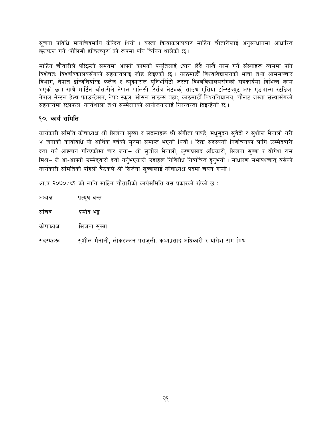सूचना प्रविधि मार्गचित्रमाथि केन्द्रित थियो । यस्ता कियाकलापबाट मार्टिन चौतारीलाई अनुसन्धानमा आधारित छलफल गर्ने 'पोलिसी इन्ष्टिच्युट' को रूपमा पनि चिनिन थालेको छ।

मार्टिन चौतारीले पछिल्लो समयमा आफ्नो कामको प्रकृतिलाई ध्यान दिँदै यस्तै काम गर्ने संस्थाहरू त्यसमा पनि .<br>विशेषतः विश्वविद्यालयसँगको सहकार्यलाई जोड दिइएको छ । काठमाडौँ विश्वविद्यालयको भाषा तथा आमसञ्चार विभाग, नेपाल इन्जिनियरिड कलेज र न्यूक्यासल युनिभर्सिटी जस्ता विश्वविद्यालयसँगको सहकार्यमा विभिन्न काम भएको छ । साथै मार्टिन चौतारीले नेपाल पालिसी रिर्सच नेटवर्क, साउथ एसिया इन्स्टिच्युट अफ एडभान्स स्टडिज, नेपाल मेन्टल हेल्थ फाउन्डेसन, नेपा: स्कूल, सोसल साइन्स बहा:, काठमाडौँ विश्वविद्यालय, चौखट जस्ता संस्थासँगको सहकार्यमा छलफल, कार्यशाला तथा सम्मेलनको आयोजनालाई निरन्तरता दिइरहेको छ ।

# १०. कार्य समिति

कार्यकारी समिति कोषाध्यक्ष श्री सिर्जना सुब्बा र सदस्यहरू श्री संगीता पाण्डे, मधुसुदन सुवेदी र सुशील मैनाली गरी ४ जनाको कार्यावधि यो आर्थिक वर्षको सुरुमा समाप्त भएको थियो । रिक्त सदस्यको निर्वाचनका लागि उम्मेदवारी दर्ता गर्न आह्वान गरिएकोमा चार जना– श्री सुशील मैनाली, कृष्णप्रसाद अधिकारी, सिर्जना सुब्बा र योगेश राम मिश्र– ले आ-आफ्नो उम्मेद्वारी दर्ता गर्नुभएकाले उहाँहरू निर्विरोध निर्वाचित हुनुभयो। साधारण सभापश्चात् बसेको कार्यकारी समितिको पहिलो बैठकले श्री सिर्जना सब्बालाई कोषाध्यक्ष पदमा चयन गऱ्यो ।

आ व २०७०/७१ को लागि मार्टिन चौतारीको कार्यसमिति यस प्रकारको रहेको छ :

| अध्यक्ष    | प्रत्यूष वन्त                                                         |
|------------|-----------------------------------------------------------------------|
| सचिव       | प्रमोद भट्ट                                                           |
| कोषाध्यक्ष | सिर्जना सुब्बा                                                        |
| सदस्यहरू   | सुशील मैनाली, लोकरञ्जन पराजुली, कृष्णप्रसाद अधिकारी र योगेश राम मिश्र |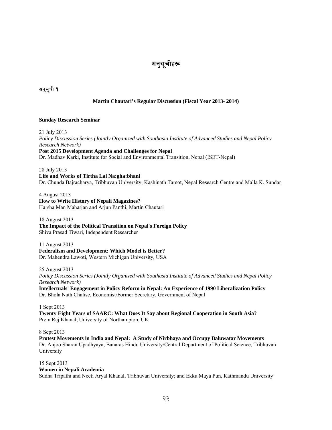# अनुसूचाहरू

# अनुसूची <mark>१</mark><br>अनुसूची १

## **Martin Chautari's Regular Discussion (Fiscal Year 2013- 2014)**

#### **Sunday Research Seminar**

21 July 2013 *Policy Discussion Series (Jointly Organized with Southasia Institute of Advanced Studies and Nepal Policy Research Network)* **Post 2015 Development Agenda and Challenges for Nepal**  Dr. Madhav Karki, Institute for Social and Environmental Transition, Nepal (ISET-Nepal)

28 July 2013 **Life and Works of Tirtha Lal Na:gha:bhani**  Dr. Chunda Bajracharya, Tribhuvan University; Kashinath Tamot, Nepal Research Centre and Malla K. Sundar

4 August 2013 **How to Write History of Nepali Magazines?**  Harsha Man Maharjan and Arjun Panthi, Martin Chautari

18 August 2013 **The Impact of the Political Transition on Nepal's Foreign Policy**  Shiva Prasad Tiwari, Independent Researcher

11 August 2013 **Federalism and Development: Which Model is Better?**  Dr. Mahendra Lawoti, Western Michigan University, USA

25 August 2013 *Policy Discussion Series (Jointly Organized with Southasia Institute of Advanced Studies and Nepal Policy Research Network)*  **Intellectuals' Engagement in Policy Reform in Nepal: An Experience of 1990 Liberalization Policy**  Dr. Bhola Nath Chalise, Economist/Former Secretary, Government of Nepal

1 Sept 2013 **Twenty Eight Years of SAARC: What Does It Say about Regional Cooperation in South Asia?**  Prem Raj Khanal, University of Northampton, UK

8 Sept 2013

**Protest Movements in India and Nepal: A Study of Nirbhaya and Occupy Baluwatar Movements**  Dr. Anjoo Sharan Upadhyaya, Banaras Hindu University/Central Department of Political Science, Tribhuvan University

15 Sept 2013 **Women in Nepali Academia** 

Sudha Tripathi and Neeti Aryal Khanal, Tribhuvan University; and Ekku Maya Pun, Kathmandu University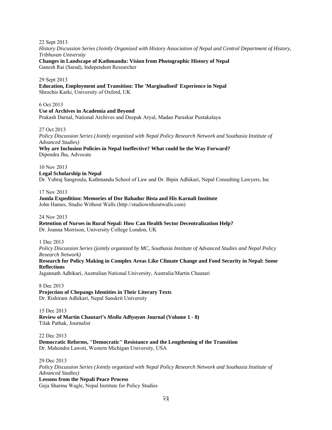22 Sept 2013

*History Discussion Series (Jointly Organized with History Association of Nepal and Central Department of History, Tribhuvan University* 

**Changes in Landscape of Kathmandu: Vision from Photographic History of Nepal**  Ganesh Rai (Sarad), Independent Researcher

29 Sept 2013

**Education, Employment and Transition: The 'Marginalised' Experience in Nepal**  Shrochis Karki, University of Oxford, UK

6 Oct 2013

**Use of Archives in Academia and Beyond** 

Prakash Darnal, National Archives and Deepak Aryal, Madan Puraskar Pustakalaya

27 Oct 2013

*Policy Discussion Series (Jointly organized with Nepal Policy Research Network and Southasia Institute of Advanced Studies)*

**Why are Inclusion Policies in Nepal Ineffective? What could be the Way Forward?** Dipendra Jha, Advocate

10 Nov 2013 **Legal Scholarship in Nepal**  Dr. Yubraj Sangroula, Kathmandu School of Law and Dr. Bipin Adhikari, Nepal Consulting Lawyers, Inc

17 Nov 2013

**Jumla Expedition: Memories of Dor Bahadur Bista and His Karnali Institute** John Hames, Studio Without Walls (http://studiowithoutwalls.com)

24 Nov 2013

**Retention of Nurses in Rural Nepal: How Can Health Sector Decentralization Help?** Dr. Joanna Morrison, University College London, UK

1 Dec 2013

*Policy Discussion Series (jointly organized by MC, Southasia Institute of Advanced Studies and Nepal Policy Research Network)*

**Research for Policy Making in Complex Areas Like Climate Change and Food Security in Nepal: Some Reflections**

Jagannath Adhikari, Australian National University, Australia/Martin Chautari

8 Dec 2013 **Projection of Chepangs Identities in Their Literary Texts**  Dr. Rishiram Adhikari, Nepal Sanskrit University

15 Dec 2013 **Review of Martin Chautari's** *Media Adhyayan* **Journal (Volume 1 - 8)**  Tilak Pathak, Journalist

22 Dec 2013 **Democratic Reforms, "Democratic" Resistance and the Lengthening of the Transition**  Dr. Mahendra Lawoti, Western Michigan University, USA

29 Dec 2013

*Policy Discussion Series (Jointly organized with Nepal Policy Research Network and Southasia Institute of Advanced Studies)*

**Lessons from the Nepali Peace Process**

Geja Sharma Wagle, Nepal Institute for Policy Studies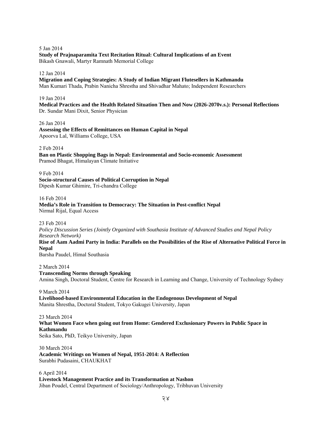5 Jan 2014 **Study of Prajnaparamita Text Recitation Ritual: Cultural Implications of an Event**  Bikash Gnawali, Martyr Ramnath Memorial College

#### 12 Jan 2014

**Migration and Coping Strategies: A Study of Indian Migrant Flutesellers in Kathmandu**  Man Kumari Thada, Prabin Nanicha Shrestha and Shivadhar Mahato; Independent Researchers

#### 19 Jan 2014

**Medical Practices and the Health Related Situation Then and Now (2026-2070v.s.): Personal Reflections**  Dr. Sundar Mani Dixit, Senior Physician

26 Jan 2014 **Assessing the Effects of Remittances on Human Capital in Nepal**  Apoorva Lal, Williams College, USA

2 Feb 2014

**Ban on Plastic Shopping Bags in Nepal: Environmental and Socio-economic Assessment**  Pramod Bhagat, Himalayan Climate Initiative

9 Feb 2014

**Socio-structural Causes of Political Corruption in Nepal**  Dipesh Kumar Ghimire, Tri-chandra College

16 Feb 2014

**Media's Role in Transition to Democracy: The Situation in Post-conflict Nepal**  Nirmal Rijal, Equal Access

23 Feb 2014

*Policy Discussion Series (Jointly Organized with Southasia Institute of Advanced Studies and Nepal Policy Research Network)*

**Rise of Aam Aadmi Party in India: Parallels on the Possibilities of the Rise of Alternative Political Force in Nepal** 

Barsha Paudel, Himal Southasia

2 March 2014 **Transcending Norms through Speaking**  Amina Singh, Doctoral Student, Centre for Research in Learning and Change, University of Technology Sydney

9 March 2014 **Livelihood-based Environmental Education in the Endogenous Development of Nepal**  Manita Shrestha, Doctoral Student, Tokyo Gakugei University, Japan

23 March 2014 **What Women Face when going out from Home: Gendered Exclusionary Powers in Public Space in Kathmandu** 

Seika Sato, PhD, Teikyo University, Japan

30 March 2014 **Academic Writings on Women of Nepal, 1951-2014: A Reflection**  Surabhi Pudasaini, CHAUKHAT

6 April 2014 **Livestock Management Practice and its Transformation at Nashon**  Jiban Poudel, Central Department of Sociology/Anthropology, Tribhuvan University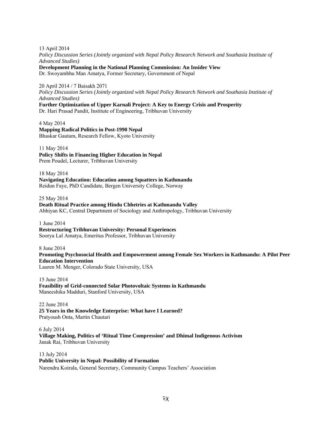13 April 2014 *Policy Discussion Series (Jointly organized with Nepal Policy Research Network and Southasia Institute of Advanced Studies)* 

**Development Planning in the National Planning Commission: An Insider View**

Dr. Swoyambhu Man Amatya, Former Secretary, Government of Nepal

## 20 April 2014 / 7 Baisakh 2071

*Policy Discussion Series (Jointly organized with Nepal Policy Research Network and Southasia Institute of Advanced Studies)* 

## **Further Optimization of Upper Karnali Project: A Key to Energy Crisis and Prosperity**

Dr. Hari Prasad Pandit, Institute of Engineering, Tribhuvan University

4 May 2014 **Mapping Radical Politics in Post-1990 Nepal** Bhaskar Gautam, Research Fellow, Kyoto University

11 May 2014 **Policy Shifts in Financing Higher Education in Nepal** Prem Poudel, Lecturer, Tribhuvan University

18 May 2014 **Navigating Education: Education among Squatters in Kathmandu** Reidun Faye, PhD Candidate, Bergen University College, Norway

25 May 2014 **Death Ritual Practice among Hindu Chhetries at Kathmandu Valley**  Abhiyan KC, Central Department of Sociology and Anthropology, Tribhuvan University

1 June 2014 **Restructuring Tribhuvan University: Personal Experiences** Soorya Lal Amatya, Emeritus Professor, Tribhuvan University

8 June 2014 **Promoting Psychosocial Health and Empowerment among Female Sex Workers in Kathmandu: A Pilot Peer Education Intervention** Lauren M. Menger, Colorado State University, USA

15 June 2014 **Feasibility of Grid-connected Solar Photovoltaic Systems in Kathmandu** Maneeshika Madduri, Stanford University, USA

22 June 2014 **25 Years in the Knowledge Enterprise: What have I Learned?**  Pratyoush Onta, Martin Chautari

6 July 2014 **Village Making, Politics of 'Ritual Time Compression' and Dhimal Indigenous Activism**  Janak Rai, Tribhuvan University

13 July 2014 **Public University in Nepal: Possibility of Formation**  Narendra Koirala, General Secretary, Community Campus Teachers' Association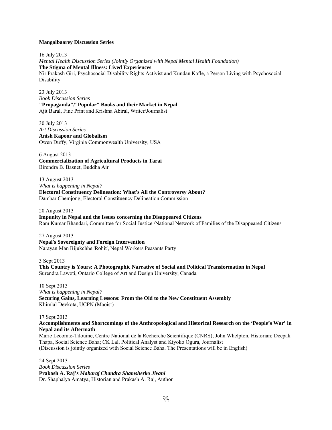#### **Mangalbaarey Discussion Series**

16 July 2013

*Mental Health Discussion Series (Jointly Organized with Nepal Mental Health Foundation)* **The Stigma of Mental Illness: Lived Experiences**  Nir Prakash Giri, Psychosocial Disability Rights Activist and Kundan Kafle, a Person Living with Psychosocial Disability

23 July 2013 *Book Discussion Series* **"Propaganda"/"Popular" Books and their Market in Nepal** Ajit Baral, Fine Print and Krishna Abiral, Writer/Journalist

30 July 2013 *Art Discussion Series* **Anish Kapoor and Globalism**  Owen Duffy, Virginia Commonwealth University, USA

6 August 2013 **Commercialization of Agricultural Products in Tarai**  Birendra B. Basnet, Buddha Air

13 August 2013 *What is happening in Nepal?* **Electoral Constituency Delineation: What's All the Controversy About?**  Dambar Chemjong, Electoral Constituency Delineation Commission

20 August 2013 **Impunity in Nepal and the Issues concerning the Disappeared Citizens**  Ram Kumar Bhandari, Committee for Social Justice /National Network of Families of the Disappeared Citizens

27 August 2013 **Nepal's Sovereignty and Foreign Intervention**  Narayan Man Bijukchhe 'Rohit', Nepal Workers Peasants Party

3 Sept 2013 **This Country is Yours: A Photographic Narrative of Social and Political Transformation in Nepal**  Surendra Lawoti, Ontario College of Art and Design University, Canada

10 Sept 2013 *What is happening in Nepal?* **Securing Gains, Learning Lessons: From the Old to the New Constituent Assembly**  Khimlal Devkota, UCPN (Maoist)

17 Sept 2013

#### **Accomplishments and Shortcomings of the Anthropological and Historical Research on the 'People's War' in Nepal and its Aftermath**

Marie Lecomte-Tilouine, Centre National de la Recherche Scientifique (CNRS); John Whelpton, Historian; Deepak Thapa, Social Science Baha; CK Lal, Political Analyst and Kiyoko Ogura, Journalist (Discussion is jointly organized with Social Science Baha. The Presentations will be in English)

24 Sept 2013 *Book Discussion Series*  **Prakash A. Raj's** *Maharaj Chandra Shamsherko Jivani*  Dr. Shaphalya Amatya, Historian and Prakash A. Raj, Author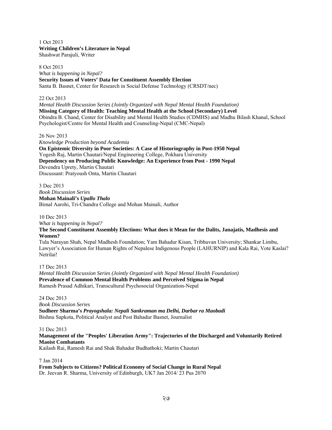1 Oct 2013 **Writing Children's Literature in Nepal**  Shashwat Parajuli, Writer

8 Oct 2013 *What is happening in Nepal?* **Security Issues of Voters' Data for Constituent Assembly Election**  Santa B. Basnet, Center for Research in Social Defense Technology (CRSDT/nec)

#### 22 Oct 2013

*Mental Health Discussion Series (Jointly Organized with Nepal Mental Health Foundation)* **Missing Category of Health: Teaching Mental Health at the School (Secondary) Level**  Obindra B. Chand, Center for Disability and Mental Health Studies (CDMHS) and Madhu Bilash Khanal, School Psychologist/Centre for Mental Health and Counseling-Nepal (CMC-Nepal)

26 Nov 2013

*Knowledge Production beyond Academia*  **On Epistemic Diversity in Poor Societies: A Case of Historiography in Post-1950 Nepal**  Yogesh Raj, Martin Chautari/Nepal Engineering College, Pokhara University **Dependency on Producing Public Knowledge: An Experience from Post - 1990 Nepal**  Devendra Uprety, Martin Chautari Discussant: Pratyoush Onta, Martin Chautari

3 Dec 2013 *Book Discussion Series* **Mohan Mainali's** *Upallo Thalo* Bimal Aarohi, Tri-Chandra College and Mohan Mainali, Author

10 Dec 2013

*What is happening in Nepal?*

**The Second Constituent Assembly Elections: What does it Mean for the Dalits, Janajatis, Madhesis and Women?** 

Tula Narayan Shah, Nepal Madhesh Foundation; Yam Bahadur Kisan, Tribhuvan University; Shankar Limbu, Lawyer's Association for Human Rights of Nepalese Indigenous People (LAHURNIP) and Kala Rai, Vote Kaslai? Netrilai!

17 Dec 2013 *Mental Health Discussion Series (Jointly Organized with Nepal Mental Health Foundation)* **Prevalence of Common Mental Health Problems and Perceived Stigma in Nepal**  Ramesh Prasad Adhikari, Transcultural Psychosocial Organization-Nepal

#### 24 Dec 2013

*Book Discussion Series*

**Sudheer Sharma's** *Prayogshala: Nepali Sankraman ma Delhi, Darbar ra Maobadi* Bishnu Sapkota, Political Analyst and Post Bahadur Basnet, Journalist

#### 31 Dec 2013

**Management of the "Peoples' Liberation Army": Trajectories of the Discharged and Voluntarily Retired Maoist Combatants**

Kailash Rai, Ramesh Rai and Shak Bahadur Budhathoki; Martin Chautari

7 Jan 2014

**From Subjects to Citizens? Political Economy of Social Change in Rural Nepal** Dr. Jeevan R. Sharma, University of Edinburgh, UK7 Jan 2014/ 23 Pus 2070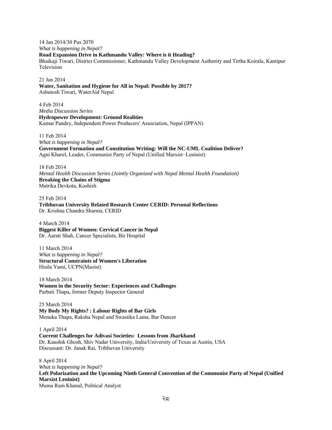14 Jan 2014/30 Pus 2070

*What is happening in Nepal?*  **Road Expansion Drive in Kathmandu Valley: Where is it Heading?** 

Bhaikaji Tiwari, District Commissioner, Kathmandu Valley Development Authority and Tirtha Koirala, Kantipur Television

21 Jan 2014 **Water, Sanitation and Hygiene for All in Nepal: Possible by 2017?**  Ashutosh Tiwari, WaterAid Nepal

4 Feb 2014 *Media Discussion Series*  **Hydropower Development: Ground Realities**  Kumar Pandey, Independent Power Producers' Association, Nepal (IPPAN)

11 Feb 2014 *What is happening in Nepal?*  **Government Formation and Constitution Writing: Will the NC-UML Coalition Deliver?**  Agni Kharel, Leader, Communist Party of Nepal (Unified Marxist−Leninist)

18 Feb 2014 *Mental Health Discussion Series (Jointly Organized with Nepal Mental Health Foundation)*  **Breaking the Chains of Stigma**  Matrika Devkota, Koshish

25 Feb 2014 **Tribhuvan University Related Research Center CERID: Personal Reflections**  Dr. Krishna Chandra Sharma, CERID

4 March 2014 **Biggest Killer of Women: Cervical Cancer in Nepal**  Dr. Aarati Shah, Cancer Specialists, Bir Hospital

11 March 2014 *What is happening in Nepal?* **Structural Constraints of Women's Liberation**  Hisila Yami, UCPN(Maoist)

18 March 2014 **Women in the Security Sector: Experiences and Challenges**  Parbati Thapa, former Deputy Inspector General

25 March 2014 **My Body My Rights? : Labour Rights of Bar Girls**  Menuka Thapa, Raksha Nepal and Swastika Lama, Bar Dancer

1 April 2014 **Current Challenges for Adivasi Societies: Lessons from Jharkhand**  Dr. Kaushik Ghosh, Shiv Nadar University, India/University of Texas at Austin, USA Discussant: Dr. Janak Rai, Tribhuvan University

8 April 2014 *What is happening in Nepal?* **Left Polarization and the Upcoming Ninth General Convention of the Communist Party of Nepal (Unified Marxist Leninist)**  Muma Ram Khanal, Political Analyst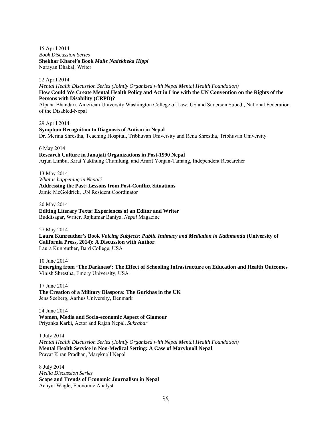15 April 2014 *Book Discussion Series*  **Shekhar Kharel's Book** *Maile Nadekheka Hippi* Narayan Dhakal, Writer

22 April 2014

*Mental Health Discussion Series (Jointly Organized with Nepal Mental Health Foundation)* **How Could We Create Mental Health Policy and Act in Line with the UN Convention on the Rights of the Persons with Disability (CRPD)?** 

Alpana Bhandari, American University Washington College of Law, US and Suderson Subedi, National Federation of the Disabled-Nepal

29 April 2014 **Symptom Recognition to Diagnosis of Autism in Nepal** Dr. Merina Shrestha, Teaching Hospital, Tribhuvan University and Rena Shrestha, Tribhuvan University

6 May 2014

# **Research Culture in Janajati Organizations in Post-1990 Nepal**

Arjun Limbu, Kirat Yakthung Chumlung, and Amrit Yonjan-Tamang, Independent Researcher

13 May 2014 *What is happening in Nepal?* **Addressing the Past: Lessons from Post-Conflict Situations** Jamie McGoldrick, UN Resident Coordinator

20 May 2014

**Editing Literary Texts: Experiences of an Editor and Writer**  Buddisagar, Writer, Rajkumar Baniya, *Nepal* Magazine

27 May 2014

**Laura Kunreuther's Book** *Voicing Subjects: Public Intimacy and Mediation in Kathmandu* **(University of California Press, 2014): A Discussion with Author** Laura Kunreuther, Bard College, USA

10 June 2014 **Emerging from 'The Darkness': The Effect of Schooling Infrastructure on Education and Health Outcomes** Vinish Shrestha, Emory University, USA

17 June 2014 **The Creation of a Military Diaspora: The Gurkhas in the UK** Jens Seeberg, Aarhus University, Denmark

24 June 2014 **Women, Media and Socio-economic Aspect of Glamour**  Priyanka Karki, Actor and Rajan Nepal, *Sukrabar* 

1 July 2014 *Mental Health Discussion Series (Jointly Organized with Nepal Mental Health Foundation)*  **Mental Health Service in Non-Medical Setting: A Case of Maryknoll Nepal**  Pravat Kiran Pradhan, Maryknoll Nepal

8 July 2014 *Media Discussion Series*  **Scope and Trends of Economic Journalism in Nepal**  Achyut Wagle, Economic Analyst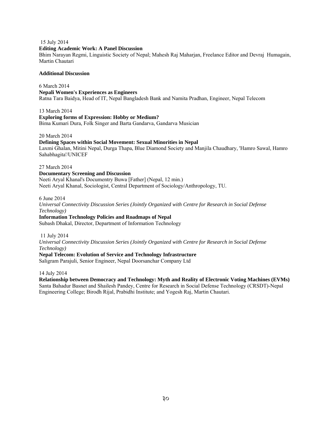#### 15 July 2014

#### **Editing Academic Work: A Panel Discussion**

Bhim Narayan Regmi, Linguistic Society of Nepal; Mahesh Raj Maharjan, Freelance Editor and Devraj Humagain, Martin Chautari

#### **Additional Discussion**

6 March 2014 **Nepali Women's Experiences as Engineers**  Ratna Tara Baidya, Head of IT, Nepal Bangladesh Bank and Namita Pradhan, Engineer, Nepal Telecom

13 March 2014

**Exploring forms of Expression: Hobby or Medium?**  Bima Kumari Dura, Folk Singer and Barta Gandarva, Gandarva Musician

20 March 2014

#### **Defining Spaces within Social Movement: Sexual Minorities in Nepal**

Laxmi Ghalan, Mitini Nepal, Durga Thapa, Blue Diamond Society and Manjila Chaudhary, 'Hamro Sawal, Hamro Sahabhagita'/UNICEF

27 March 2014

#### **Documentary Screening and Discussion**

Neeti Aryal Khanal's Documentry Buwa [Father] (Nepal, 12 min.) Neeti Aryal Khanal, Sociologist, Central Department of Sociology/Anthropology, TU.

6 June 2014

*Universal Connectivity Discussion Series (Jointly Organized with Centre for Research in Social Defense Technology)*

#### **Information Technology Policies and Roadmaps of Nepal**

Subash Dhakal, Director, Department of Information Technology

11 July 2014

*Universal Connectivity Discussion Series (Jointly Organized with Centre for Research in Social Defense Technology)*

#### **Nepal Telecom: Evolution of Service and Technology Infrastructure**

Saligram Parajuli, Senior Engineer, Nepal Doorsanchar Company Ltd

14 July 2014

**Relationship between Democracy and Technology: Myth and Reality of Electronic Voting Machines (EVMs)**  Santa Bahadur Basnet and Shailesh Pandey, Centre for Research in Social Defense Technology (CRSDT)-Nepal Engineering College; Birodh Rijal, Prabidhi Institute; and Yogesh Raj, Martin Chautari.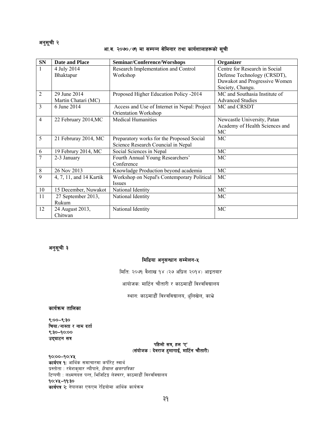## अनुसूची २

## आ.व. २०७०/७१ मा सम्पन्न सेमिनार तथा कार्यशालाहरूको सूची

| <b>SN</b>      | <b>Date and Place</b>   | Seminar/Conference/Worshops                  | Organizer                      |
|----------------|-------------------------|----------------------------------------------|--------------------------------|
| $\mathbf{1}$   | 4 July 2014             | Research Implementation and Control          | Centre for Research in Social  |
|                | Bhaktapur               | Workshop                                     | Defense Technology (CRSDT),    |
|                |                         |                                              | Duwakot and Progressive Women  |
|                |                         |                                              | Society, Changu.               |
| $\overline{2}$ | 29 June 2014            | Proposed Higher Education Policy -2014       | MC and Southasia Institute of  |
|                | Martin Chatari (MC)     |                                              | <b>Advanced Studies</b>        |
| $\overline{3}$ | 6 June 2014             | Access and Use of Internet in Nepal: Project | MC and CRSDT                   |
|                |                         | Orientation Workshop                         |                                |
| $\overline{4}$ | 22 February 2014, MC    | <b>Medical Humanities</b>                    | Newcastle University, Patan    |
|                |                         |                                              | Academy of Health Sciences and |
|                |                         |                                              | MC                             |
| 5              | 21 Februray 2014, MC    | Preparatory works for the Proposed Social    | MC                             |
|                |                         | Science Research Councial in Nepal           |                                |
| 6              | 19 Februry 2014, MC     | Social Sciences in Nepal                     | MC                             |
| $\overline{7}$ | 2-3 January             | Fourth Annual Young Researchers'             | MC                             |
|                |                         | Conference                                   |                                |
| $8\,$          | 26 Nov 2013             | Knowladge Production beyond academia         | MC                             |
| 9              | 4, 7, 11, and 14 Kartik | Workshop on Nepal's Contemporary Political   | MC                             |
|                |                         | Issues                                       |                                |
| 10             | 15 December, Nuwakot    | National Identity                            | MC                             |
| 11             | 27 September 2013,      | National Identity                            | MC                             |
|                | Rukum                   |                                              |                                |
| 12             | 24 August 2013,         | National Identity                            | MC                             |
|                | Chitwan                 |                                              |                                |

## अनुसूची ३

## मिडिया अनुसन्धान सम्मेलन-५

मिति: २०७१ वैशाख १४ (२७ अप्रिल २०१४) आइतबार

आयोजक: मार्टिन चौतारी र काठमाडौँ विश्वविद्यालय

स्थान: काठमाडौँ विश्वविद्यालय, धुलिखेल, काभ्रे

## कार्यक्रम तालिका

 $(8,9 - 00)$ चिया ∕ नास्ता र नाम दर्ता  $8:30 - 90:00$ उद्घाटन सत्र

#### पहिलो सत्र, हल 'ए'  $(i$ संयोजक : देवराज हुमागाईं, मार्टिन चौतारी)

## $90:00 - 90:8$

कार्यपत्र १: आर्थिक समाचारमा कर्पोरेट स्वार्थ प्रस्तोता : रमेशकुमार न्यौपाने, *हिमाल खबरपत्रिका* टिप्पणी : लक्ष्मणदत्त पन्त, भिजिटिङ्ग लेक्चरर, काठमाडौँ विश्वविद्यालय  $90:84 - 99:30$ कार्यपत्र २: नेपालका एफएम रेडियोमा आर्थिक कार्यक्रम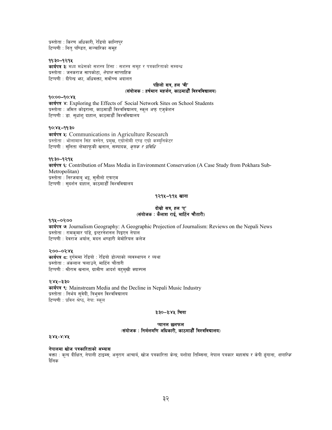प्रस्तोता : किरण अधिकारी, रेडियो कान्तिपुर टिप्पणी : नित् पण्डित, सञ्चारिका समूह

#### ११:३०–१२:१५

कार्यपत्र ३: मध्य मधेसको सशस्त्र हिंसा : सशस्त्र समूह र पत्रकारिताको सम्बन्ध प्रस्तोता : जनकराज सापकोटा. *नेपाल* साप्ताहिक टिप्पणी : दीपेन्द्र भा. अधिवक्ता. सर्वोच्च अदालत

#### पहिलो सत्र हल 'बी' (संयोजक: हर्षमान महर्जन, काठमाडौँ विश्वविद्यालय)

#### $90:00 - 90:8$

sfo{kq \$M Exploring the Effects of Social Network Sites on School Students प्रस्तोता : अमित कोइराला, काठमाडौँ विश्वविद्यालय, स्कुल अफु एजुकेशन टिप्पणी : डा. सुधांशु दाहाल, काठमाडौँ विश्वविद्यालय

#### $90:84 - 99:30$

कार्यपत्र ५: Communications in Agriculture Research प्रस्तोता : भोलामान सिंह बस्नेत, प्रमुख, एग्रोनोमी एण्ड एग्रो कर्म्युनिकेटर टिप्पणी : सुनिता न्हेम्हाफुकी खनाल, सम्पादक, *कृषक र प्रविधि* 

#### ११:३०–१२:१५

कार्यपत्र ६: Contribution of Mass Media in Environment Conservation (A Case Study from Pokhara Sub-Metropolitan) प्रस्तोता : निरजवाब भट्ट, सनौलो एफएम टिप्पणी : सुदर्शन दाहाल, काठमाडौँ विश्वविद्यालय

#### १२:१५-१:१५ खाना

#### वोस्रो सत्र, हल 'ए' (संयोजक: कैलाश राई, मार्टिन चौतारी)

#### $9:94 - 0?00$

sfo{kq &M Journalism Geography: A Geographic Projection of Journalism: Reviews on the Nepali News प्रस्तोता : रामकमार पाँडे, इन्टरनेशनल पिइएन नेपाल टिप्पणी : देवराज अर्याल, मदन भण्डारी मेमोरियल कलेज

#### $3:00 - 03:88$

**कार्यपत्र दः** दुर्गममा रेडियो : रेडियो डोल्पाको व्यवस्थापन र व्यथा प्रस्तोता : अंकलाल चलाउने, मार्टिन चौतारी टिप्पणी : श्रीराम खनाल, ग्रामीण आदर्श बहमुखी क्याम्पस

#### $9:84 - 3:30$

कार्यपत्र ९: Mainstream Media and the Decline in Nepali Music Industry प्रस्तोता : निर्भय सवेदी. त्रिभवन विश्वविद्यालय टिप्पणी : प्रविन श्रेष्ठ, नेपा: स्कल

#### ३:३०–३:४५ चिया

#### प्यानल छलफल  $\mathcal{L}$ (संयोजक: निर्मलमणि अधिकारी, काठमाडौँ विश्वविद्यालय)

#### #M\$%–\$M\$%

#### नेपालमा खोज पत्रकारिताको अभ्यास

वक्ता : कन्द दीक्षित, नेपाली टाइम्स; अनुराग आचार्य, खोज पत्रकारिता केन्द्र; यशोदा तिम्सिना, नेपाल पत्रकार महासंघ र केपी ढुंगाना, *नागरिक* दैनिक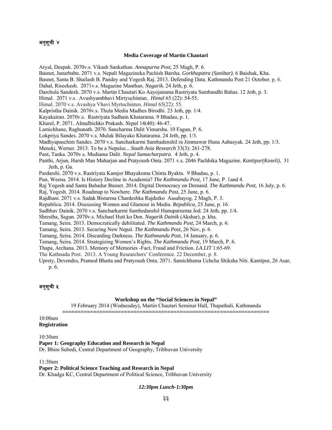## अनुसूची ४

#### **Media Coverage of Martin Chautari**

Aryal, Deepak. 2070v.s. Vikash Sankathan. *Annapurna Post*, 25 Magh, P. 6. Basnet, Junarbabu. 2071 v.s. Nepali Magazineka Pachish Barsha. *Gorkhapatra (Sanibar)*, 6 Baishak, Kha. Basnet, Santa B. Shailash B. Pandey and Yogesh Raj. 2013. Defending Data. Kathmandu Post 21 October. p. 6. Dahal, Riseekesh. 2071v.s. Magazine Manthan. *Nagarik.* 24 Jeth, p. 6. Darchula Sandesh. 2070 v.s. Martin Chautari Ko Aayojanama Rastriyata Sambandhi Bahas. 12 Jeth, p. 3. Himal. 2071 v.s. Avashyambhavi Mirtyuchintan. *Himal* 65 (22): 54-55. Himal. 2070 v.s. Avashya Vhavi Myrtuchinten. *Himal* 65(22): 55. Kalpristha Dainik. 2070v.s. Thula Media Madhes Birodhi. 23 Jeth, pp. 1/4. Kayakairan. 2070v.s. Rastriyata Sadhain Khatarama. 9 Bhadau, p. 1. Kharel, P. 2071. Almalbichko Prakash. *Nepal* 14(40): 46-47. Lamichhane, Raghunath. 2070. Sancharma Dalit Vimarsha. 10 Fagun, P. 6. Lokpriya Sandes. 2070 v.s. Muluk Bilayako Khatarama. 24 Jeth, pp. 1/3. Madhyapaschim Sandes. 2070 v.s. Sancharkarmi Sambadenshil ra Jimmawar Huna Aabasyak. 24 Jeth, pp. 1/3. Menski, Werner. 2013. To be a Nepalse... *South Asia Research* 33(3): 261-278. Pant, Tanka. 2070v.s. Mediama Dalit. *Nepal Samacharpatra.* 4 Jeth, p. 4. Panthi, Arjun, Harsh Man Maharjan and Pratyoush Onta. 2071 v.s. 2046 Pachhika Magazine. *Kantipur(Koseli)*, 31 Jeth, p. Ga. Pardarshi. 2070 v.s. Rastriyata Kamjor Bhayakoma Chinta Byakta. 9 Bhadau, p. 1. Pun, Weena. 2014. Is History Decline in Academia? *The Kathmandu Post,* 17 June, P. 1and 4. Raj Yogesh and Santa Bahadur Basnet. 2014. Digital Democracy on Demand. *The Kathmandu Post,* 16 July, p. 6. Raj, Yogesh. 2014. Roadmap to Nowhere. *The Kathmandu Post,* 25 June, p. 6. Rajdhani. 2071 v.s. Sadak Bistarma Chardeshka Rajdutko Aasahayog. 2 Magh, P. 3. Republica. 2014. Discussing Women and Glamour in Media. *Republica,* 25 June, p. 16. Sadbhav Dainik. 2070 v.s. Sancharkarmi Sambedanshil Hunuparnema Jod. 24 Jeth, pp. 1/4. Shrestha, Sagun. 2070v.s. Michael Hutt ko Den. *Nagarik Dainik* (Akshar), p. kha. Tamang, Seira. 2013. Democratically debilitated. *The Kathmandu Post*, 24 March, p. 6. Tamang, Seira. 2013. Securing New Nepal. *The Kathmandu Post,* 26 Nov, p. 6. Tamang, Seira. 2014. Discarding Darkness. *The Kathmandu Post*, 14 January, p. 6.

Tamang, Seira. 2014. Strategizing Women's Rights. *The Kathmandu Post,* 19 March, P. 6.

Thapa, Archana. 2013. Memory of Memories -Fact, Fraud and Friction. *LA.LIT* 1:65-69.

The Kathnadu Post. 2013. A Young Researchers' Conference. 22 December, p. 8.

Uprety, Devendra, Pramod Bhatta and Pratyoush Onta. 2071. Samichhama Uchcha Shiksha Niti. Kantipur, 26 Asar, p. 6.

## अनुसूची ५

#### **Workshop on the "Social Sciences in Nepal"**

19 February 2014 (Wednesday), Martin Chautari Seminar Hall, Thapathali, Kathmandu **===================================================================** 

#### 10:00am **Registration**

10:30am **Paper 1: Geography Education and Research in Nepal**  Dr. Bhim Subedi, Central Department of Geography, Tribhuvan University

11:30am

**Paper 2: Political Science Teaching and Research in Nepal**  Dr. Khadga KC, Central Department of Political Science, Tribhuvan University

#### *12:30pm Lunch-1:30pm*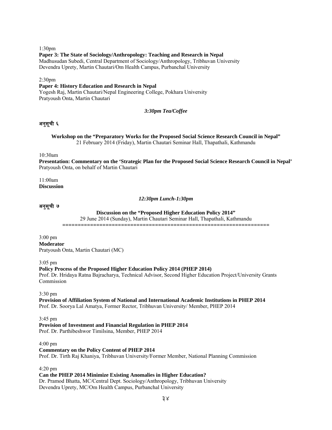1:30pm **Paper 3: The State of Sociology/Anthropology: Teaching and Research in Nepal** Madhusudan Subedi, Central Department of Sociology/Anthropology, Tribhuvan University Devendra Uprety, Martin Chautari/Om Health Campus, Purbanchal University

2:30pm

#### **Paper 4: History Education and Research in Nepal**

Yogesh Raj, Martin Chautari/Nepal Engineering College, Pokhara University Pratyoush Onta, Martin Chautari

*3:30pm Tea/Coffee* 

## अनुसूची ६

**Workshop on the "Preparatory Works for the Proposed Social Science Research Council in Nepal"**  21 February 2014 (Friday), Martin Chautari Seminar Hall, Thapathali, Kathmandu

10:30am

**Presentation: Commentary on the 'Strategic Plan for the Proposed Social Science Research Council in Nepal'**  Pratyoush Onta, on behalf of Martin Chautari

#### 11:00am **Discussion**

*12:30pm Lunch-1:30pm* 

## अनुसूची ७

**Discussion on the "Proposed Higher Education Policy 2014"**

29 June 2014 (Sunday), Martin Chautari Seminar Hall, Thapathali, Kathmandu

**===================================================================**

3:00 pm **Moderator**  Pratyoush Onta, Martin Chautari (MC)

3:05 pm

**Policy Process of the Proposed Higher Education Policy 2014 (PHEP 2014)**  Prof. Dr. Hridaya Ratna Bajracharya, Technical Advisor, Second Higher Education Project/University Grants Commission

3:30 pm

**Provision of Affiliation System of National and International Academic Institutions in PHEP 2014**  Prof. Dr. Soorya Lal Amatya, Former Rector, Tribhuvan University/ Member, PHEP 2014

#### 3:45 pm

#### **Provision of Investment and Financial Regulation in PHEP 2014**

Prof. Dr. Parthibeshwor Timilsina, Member, PHEP 2014

4:00 pm

**Commentary on the Policy Content of PHEP 2014** Prof. Dr. Tirth Raj Khaniya, Tribhuvan University/Former Member, National Planning Commission

4:20 pm

#### **Can the PHEP 2014 Minimize Existing Anomalies in Higher Education?**

Dr. Pramod Bhatta, MC/Central Dept. Sociology/Anthropology, Tribhuvan University Devendra Uprety, MC/Om Health Campus, Purbanchal University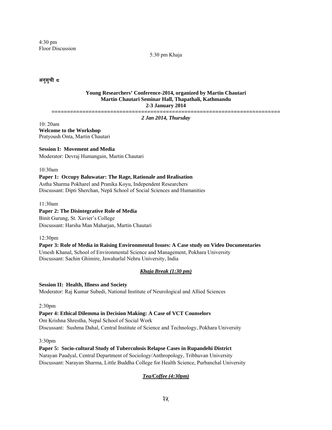4:30 pm Floor Discussion

5:30 pm Khaja

अनुसुची द

#### **Young Researchers' Conference-2014, organized by Martin Chautari Martin Chautari Seminar Hall, Thapathali, Kathmandu 2-3 January 2014**

**==========================================================================** 

*2 Jan 2014, Thursday* 

10: 20am **Welcome to the Workshop**  Pratyoush Onta, Martin Chautari

## **Session I: Movement and Media**

Moderator: Devraj Humangain, Martin Chautari

10:30am

## **Paper 1: Occupy Baluwatar: The Rage, Rationale and Realisation**  Astha Sharma Pokharel and Pranika Koyu, Independent Researchers Discussant: Dipti Sherchan, Nepā School of Social Sciences and Humanities

11:30am

#### **Paper 2: The Disintegrative Role of Media**

Binit Gurung, St. Xavier's College Discussant: Harsha Man Maharjan, Martin Chautari

12:30pm

**Paper 3: Role of Media in Raising Environmental Issues: A Case study on Video Documentaries**  Umesh Khanal, School of Environmental Science and Management, Pokhara University Discussant: Sachin Ghimire, Jawaharlal Nehru University, India

## *Khaja Break (1:30 pm)*

**Session II: Health, Illness and Society**  Moderator: Raj Kumar Subedi, National Institute of Neurological and Allied Sciences

2:30pm

#### **Paper 4: Ethical Dilemma in Decision Making: A Case of VCT Counselors**  Om Krishna Shrestha, Nepal School of Social Work

Discussant: Sushma Dahal, Central Institute of Science and Technology, Pokhara University

3:30pm

**Paper 5: Socio-cultural Study of Tuberculosis Relapse Cases in Rupandehi District** Narayan Paudyal, Central Department of Sociology/Anthropology, Tribhuvan University Discussant: Narayan Sharma, Little Buddha College for Health Science, Purbanchal University

## *Tea/Coffee (4:30pm)*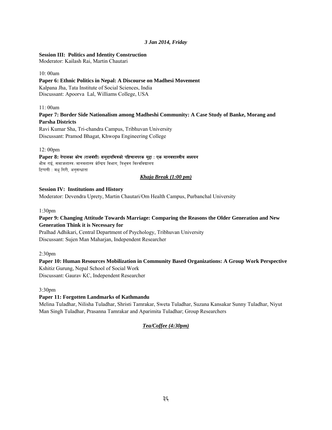## *3 Jan 2014, Friday*

## **Session III: Politics and Identity Construction**

Moderator: Kailash Rai, Martin Chautari

#### 10: 00am

## **Paper 6: Ethnic Politics in Nepal: A Discourse on Madhesi Movement**  Kalpana Jha, Tata Institute of Social Sciences, India Discussant: Apoorva Lal, Williams College, USA

## 11: 00am

## **Paper 7: Border Side Nationalism among Madheshi Community: A Case Study of Banke, Morang and Parsha Districts**  Ravi Kumar Sha, Tri-chandra Campus, Tribhuvan University

Discussant: Pramod Bhagat, Khwopa Engineering College

## 12: 00pm

## Paper 8: नेपालका कोच (राजवंशी) समुदायभित्रको पहिचानपरक मुद्दा : एक मानवशास्त्रीय अध्ययन

भीम राई, समाजशास्त्र /मानवशास्त्र केन्द्रिय विभाग, त्रिभुवन विश्वविद्यालय टिप्पणी : मधु गिरी, अनुसन्धाता

#### *Khaja Break (1:00 pm)*

## **Session IV: Institutions and History**

Moderator: Devendra Uprety, Martin Chautari/Om Health Campus, Purbanchal University

## 1:30pm

## **Paper 9: Changing Attitude Towards Marriage: Comparing the Reasons the Older Generation and New Generation Think it is Necessary for**

Pralhad Adhikari, Central Department of Psychology, Tribhuvan University Discussant: Sujen Man Maharjan, Independent Researcher

2:30pm

## **Paper 10: Human Resources Mobilization in Community Based Organizations: A Group Work Perspective** Kshitiz Gurung, Nepal School of Social Work

Discussant: Gaurav KC, Independent Researcher

3:30pm

## **Paper 11: Forgotten Landmarks of Kathmandu**

Melina Tuladhar, Nilisha Tuladhar, Shristi Tamrakar, Sweta Tuladhar, Suzana Kansakar Sunny Tuladhar, Niyut Man Singh Tuladhar, Prasanna Tamrakar and Aparimita Tuladhar; Group Researchers

## *Tea/Coffee (4:30pm)*